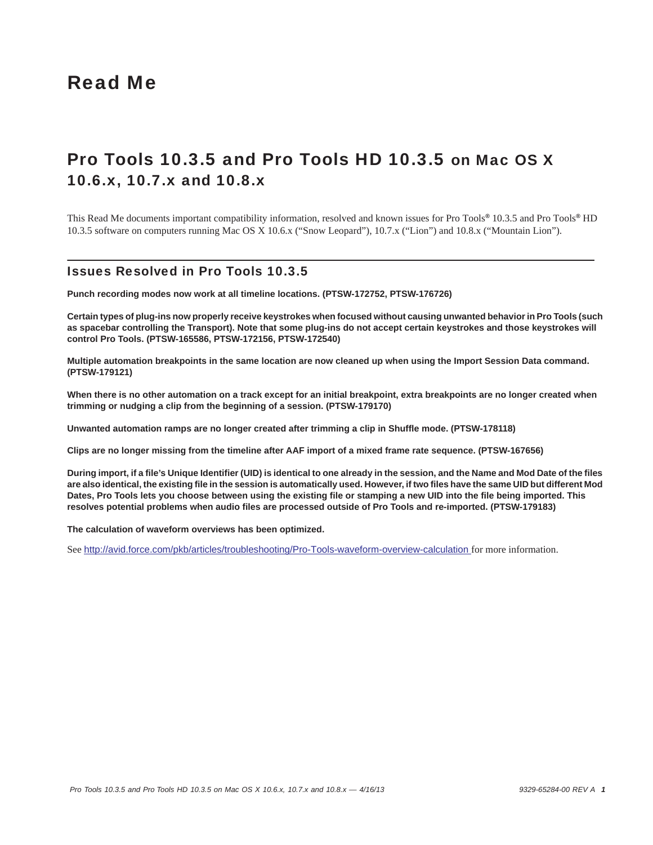# Read Me

# Pro Tools 10.3.5 and Pro Tools HD 10.3.5 on Mac OS X 10.6.x, 10.7.x and 10.8.x

This Read Me documents important compatibility information, resolved and known issues for Pro Tools*®* 10.3.5 and Pro Tools*®* HD 10.3.5 software on computers running Mac OS X 10.6.x ("Snow Leopard"), 10.7.x ("Lion") and 10.8.x ("Mountain Lion").

### Issues Resolved in Pro Tools 10.3.5

**Punch recording modes now work at all timeline locations. (PTSW-172752, PTSW-176726)**

**Certain types of plug-ins now properly receive keystrokes when focused without causing unwanted behavior in Pro Tools (such as spacebar controlling the Transport). Note that some plug-ins do not accept certain keystrokes and those keystrokes will control Pro Tools. (PTSW-165586, PTSW-172156, PTSW-172540)**

**Multiple automation breakpoints in the same location are now cleaned up when using the Import Session Data command. (PTSW-179121)**

When there is no other automation on a track except for an initial breakpoint, extra breakpoints are no longer created when **trimming or nudging a clip from the beginning of a session. (PTSW-179170)**

**Unwanted automation ramps are no longer created after trimming a clip in Shuffle mode. (PTSW-178118)**

**Clips are no longer missing from the timeline after AAF import of a mixed frame rate sequence. (PTSW-167656)**

**During import, if a file's Unique Identifier (UID) is identical to one already in the session, and the Name and Mod Date of the files are also identical, the existing file in the session is automatically used. However, if two files have the same UID but different Mod Dates, Pro Tools lets you choose between using the existing file or stamping a new UID into the file being imported. This resolves potential problems when audio files are processed outside of Pro Tools and re-imported. (PTSW-179183)**

**The calculation of waveform overviews has been optimized.**

See <http://avid.force.com/pkb/articles/troubleshooting/Pro-Tools-waveform-overview-calculation>for more information.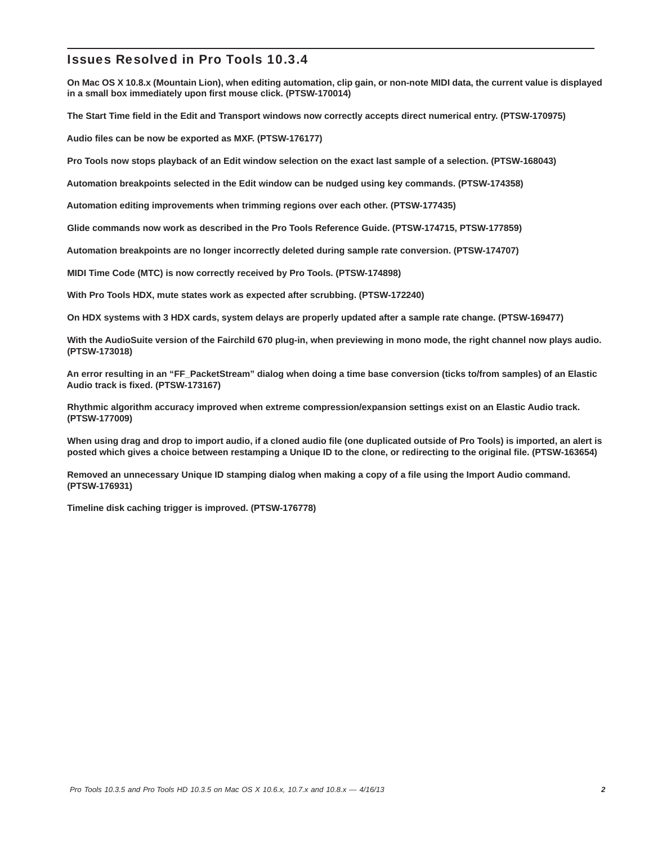# Issues Resolved in Pro Tools 10.3.4

**On Mac OS X 10.8.x (Mountain Lion), when editing automation, clip gain, or non-note MIDI data, the current value is displayed in a small box immediately upon first mouse click. (PTSW-170014)** 

**The Start Time field in the Edit and Transport windows now correctly accepts direct numerical entry. (PTSW-170975)**

**Audio files can be now be exported as MXF. (PTSW-176177)**

**Pro Tools now stops playback of an Edit window selection on the exact last sample of a selection. (PTSW-168043)**

**Automation breakpoints selected in the Edit window can be nudged using key commands. (PTSW-174358)**

**Automation editing improvements when trimming regions over each other. (PTSW-177435)**

**Glide commands now work as described in the Pro Tools Reference Guide. (PTSW-174715, PTSW-177859)**

**Automation breakpoints are no longer incorrectly deleted during sample rate conversion. (PTSW-174707)**

**MIDI Time Code (MTC) is now correctly received by Pro Tools. (PTSW-174898)**

**With Pro Tools HDX, mute states work as expected after scrubbing. (PTSW-172240)**

**On HDX systems with 3 HDX cards, system delays are properly updated after a sample rate change. (PTSW-169477)**

**With the AudioSuite version of the Fairchild 670 plug-in, when previewing in mono mode, the right channel now plays audio. (PTSW-173018)**

**An error resulting in an "FF\_PacketStream" dialog when doing a time base conversion (ticks to/from samples) of an Elastic Audio track is fixed. (PTSW-173167)**

**Rhythmic algorithm accuracy improved when extreme compression/expansion settings exist on an Elastic Audio track. (PTSW-177009)**

**When using drag and drop to import audio, if a cloned audio file (one duplicated outside of Pro Tools) is imported, an alert is posted which gives a choice between restamping a Unique ID to the clone, or redirecting to the original file. (PTSW-163654)**

**Removed an unnecessary Unique ID stamping dialog when making a copy of a file using the Import Audio command. (PTSW-176931)**

**Timeline disk caching trigger is improved. (PTSW-176778)**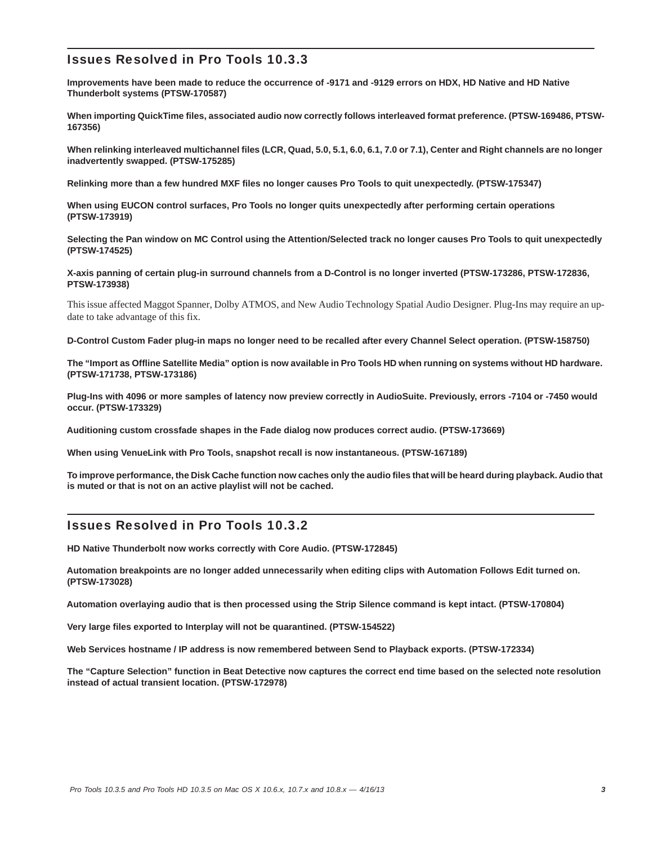# Issues Resolved in Pro Tools 10.3.3

**Improvements have been made to reduce the occurrence of -9171 and -9129 errors on HDX, HD Native and HD Native Thunderbolt systems (PTSW-170587)**

**When importing QuickTime files, associated audio now correctly follows interleaved format preference. (PTSW-169486, PTSW-167356)**

**When relinking interleaved multichannel files (LCR, Quad, 5.0, 5.1, 6.0, 6.1, 7.0 or 7.1), Center and Right channels are no longer inadvertently swapped. (PTSW-175285)**

**Relinking more than a few hundred MXF files no longer causes Pro Tools to quit unexpectedly. (PTSW-175347)**

**When using EUCON control surfaces, Pro Tools no longer quits unexpectedly after performing certain operations (PTSW-173919)**

**Selecting the Pan window on MC Control using the Attention/Selected track no longer causes Pro Tools to quit unexpectedly (PTSW-174525)**

**X-axis panning of certain plug-in surround channels from a D-Control is no longer inverted (PTSW-173286, PTSW-172836, PTSW-173938)**

This issue affected Maggot Spanner, Dolby ATMOS, and New Audio Technology Spatial Audio Designer. Plug-Ins may require an update to take advantage of this fix.

**D-Control Custom Fader plug-in maps no longer need to be recalled after every Channel Select operation. (PTSW-158750)**

**The "Import as Offline Satellite Media" option is now available in Pro Tools HD when running on systems without HD hardware. (PTSW-171738, PTSW-173186)**

**Plug-Ins with 4096 or more samples of latency now preview correctly in AudioSuite. Previously, errors -7104 or -7450 would occur. (PTSW-173329)**

**Auditioning custom crossfade shapes in the Fade dialog now produces correct audio. (PTSW-173669)**

**When using VenueLink with Pro Tools, snapshot recall is now instantaneous. (PTSW-167189)**

**To improve performance, the Disk Cache function now caches only the audio files that will be heard during playback. Audio that is muted or that is not on an active playlist will not be cached.**

## Issues Resolved in Pro Tools 10.3.2

**HD Native Thunderbolt now works correctly with Core Audio. (PTSW-172845)**

**Automation breakpoints are no longer added unnecessarily when editing clips with Automation Follows Edit turned on. (PTSW-173028)**

**Automation overlaying audio that is then processed using the Strip Silence command is kept intact. (PTSW-170804)**

**Very large files exported to Interplay will not be quarantined. (PTSW-154522)**

**Web Services hostname / IP address is now remembered between Send to Playback exports. (PTSW-172334)**

**The "Capture Selection" function in Beat Detective now captures the correct end time based on the selected note resolution instead of actual transient location. (PTSW-172978)**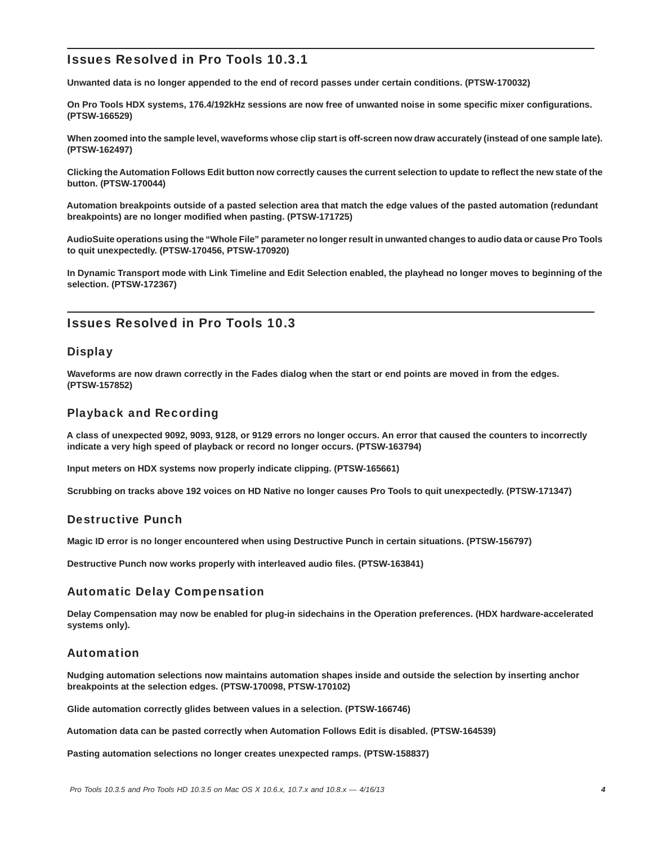# Issues Resolved in Pro Tools 10.3.1

**Unwanted data is no longer appended to the end of record passes under certain conditions. (PTSW-170032)**

**On Pro Tools HDX systems, 176.4/192kHz sessions are now free of unwanted noise in some specific mixer configurations. (PTSW-166529)**

**When zoomed into the sample level, waveforms whose clip start is off-screen now draw accurately (instead of one sample late). (PTSW-162497)**

**Clicking the Automation Follows Edit button now correctly causes the current selection to update to reflect the new state of the button. (PTSW-170044)**

**Automation breakpoints outside of a pasted selection area that match the edge values of the pasted automation (redundant breakpoints) are no longer modified when pasting. (PTSW-171725)**

**AudioSuite operations using the "Whole File" parameter no longer result in unwanted changes to audio data or cause Pro Tools to quit unexpectedly. (PTSW-170456, PTSW-170920)**

**In Dynamic Transport mode with Link Timeline and Edit Selection enabled, the playhead no longer moves to beginning of the selection. (PTSW-172367)**

# Issues Resolved in Pro Tools 10.3

### **Display**

**Waveforms are now drawn correctly in the Fades dialog when the start or end points are moved in from the edges. (PTSW-157852)**

### Playback and Recording

**A class of unexpected 9092, 9093, 9128, or 9129 errors no longer occurs. An error that caused the counters to incorrectly indicate a very high speed of playback or record no longer occurs. (PTSW-163794)**

**Input meters on HDX systems now properly indicate clipping. (PTSW-165661)**

**Scrubbing on tracks above 192 voices on HD Native no longer causes Pro Tools to quit unexpectedly. (PTSW-171347)**

### Destructive Punch

**Magic ID error is no longer encountered when using Destructive Punch in certain situations. (PTSW-156797)**

**Destructive Punch now works properly with interleaved audio files. (PTSW-163841)**

### Automatic Delay Compensation

**Delay Compensation may now be enabled for plug-in sidechains in the Operation preferences. (HDX hardware-accelerated systems only).**

### Automation

**Nudging automation selections now maintains automation shapes inside and outside the selection by inserting anchor breakpoints at the selection edges. (PTSW-170098, PTSW-170102)**

**Glide automation correctly glides between values in a selection. (PTSW-166746)**

**Automation data can be pasted correctly when Automation Follows Edit is disabled. (PTSW-164539)**

**Pasting automation selections no longer creates unexpected ramps. (PTSW-158837)**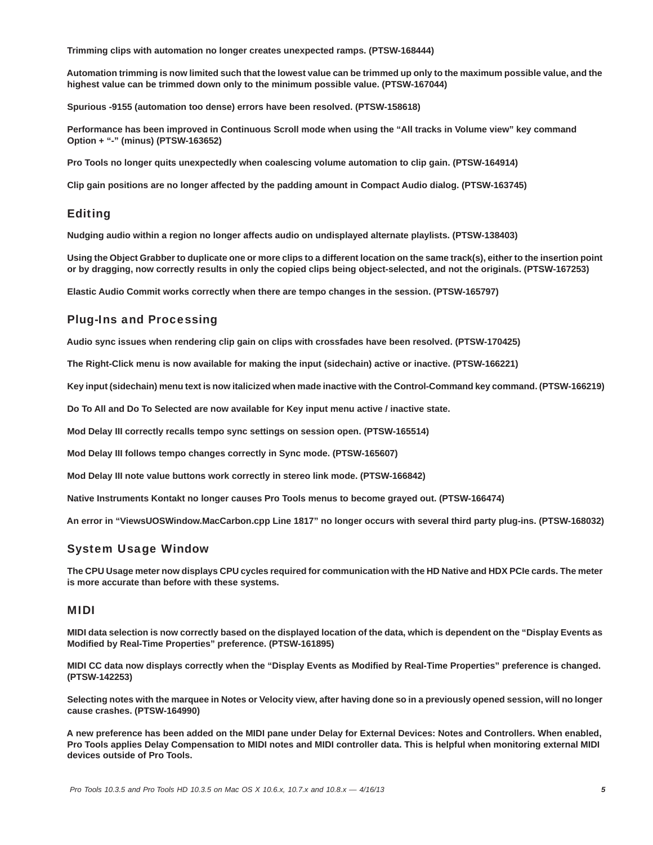**Trimming clips with automation no longer creates unexpected ramps. (PTSW-168444)**

**Automation trimming is now limited such that the lowest value can be trimmed up only to the maximum possible value, and the highest value can be trimmed down only to the minimum possible value. (PTSW-167044)**

**Spurious -9155 (automation too dense) errors have been resolved. (PTSW-158618)**

**Performance has been improved in Continuous Scroll mode when using the "All tracks in Volume view" key command Option + "-" (minus) (PTSW-163652)**

**Pro Tools no longer quits unexpectedly when coalescing volume automation to clip gain. (PTSW-164914)**

**Clip gain positions are no longer affected by the padding amount in Compact Audio dialog. (PTSW-163745)**

### Editing

**Nudging audio within a region no longer affects audio on undisplayed alternate playlists. (PTSW-138403)**

**Using the Object Grabber to duplicate one or more clips to a different location on the same track(s), either to the insertion point or by dragging, now correctly results in only the copied clips being object-selected, and not the originals. (PTSW-167253)**

**Elastic Audio Commit works correctly when there are tempo changes in the session. (PTSW-165797)**

### Plug-Ins and Processing

**Audio sync issues when rendering clip gain on clips with crossfades have been resolved. (PTSW-170425)**

**The Right-Click menu is now available for making the input (sidechain) active or inactive. (PTSW-166221)**

**Key input (sidechain) menu text is now italicized when made inactive with the Control-Command key command. (PTSW-166219)**

**Do To All and Do To Selected are now available for Key input menu active / inactive state.**

**Mod Delay III correctly recalls tempo sync settings on session open. (PTSW-165514)**

**Mod Delay III follows tempo changes correctly in Sync mode. (PTSW-165607)**

**Mod Delay III note value buttons work correctly in stereo link mode. (PTSW-166842)**

**Native Instruments Kontakt no longer causes Pro Tools menus to become grayed out. (PTSW-166474)**

**An error in "ViewsUOSWindow.MacCarbon.cpp Line 1817" no longer occurs with several third party plug-ins. (PTSW-168032)**

### System Usage Window

**The CPU Usage meter now displays CPU cycles required for communication with the HD Native and HDX PCIe cards. The meter is more accurate than before with these systems.** 

#### MIDI

**MIDI data selection is now correctly based on the displayed location of the data, which is dependent on the "Display Events as Modified by Real-Time Properties" preference. (PTSW-161895)**

**MIDI CC data now displays correctly when the "Display Events as Modified by Real-Time Properties" preference is changed. (PTSW-142253)**

**Selecting notes with the marquee in Notes or Velocity view, after having done so in a previously opened session, will no longer cause crashes. (PTSW-164990)**

**A new preference has been added on the MIDI pane under Delay for External Devices: Notes and Controllers. When enabled, Pro Tools applies Delay Compensation to MIDI notes and MIDI controller data. This is helpful when monitoring external MIDI devices outside of Pro Tools.**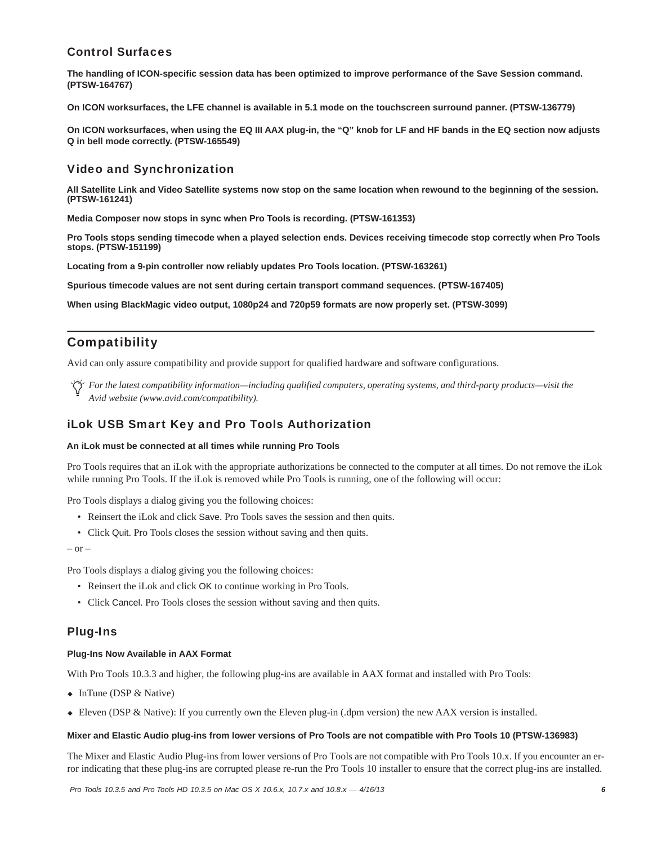# Control Surfaces

**The handling of ICON-specific session data has been optimized to improve performance of the Save Session command. (PTSW-164767)**

**On ICON worksurfaces, the LFE channel is available in 5.1 mode on the touchscreen surround panner. (PTSW-136779)**

**On ICON worksurfaces, when using the EQ III AAX plug-in, the "Q" knob for LF and HF bands in the EQ section now adjusts Q in bell mode correctly. (PTSW-165549)**

## Video and Synchronization

**All Satellite Link and Video Satellite systems now stop on the same location when rewound to the beginning of the session. (PTSW-161241)**

**Media Composer now stops in sync when Pro Tools is recording. (PTSW-161353)**

**Pro Tools stops sending timecode when a played selection ends. Devices receiving timecode stop correctly when Pro Tools stops. (PTSW-151199)**

**Locating from a 9-pin controller now reliably updates Pro Tools location. (PTSW-163261)**

**Spurious timecode values are not sent during certain transport command sequences. (PTSW-167405)**

**When using BlackMagic video output, 1080p24 and 720p59 formats are now properly set. (PTSW-3099)**

# Compatibility

Avid can only assure compatibility and provide support for qualified hardware and software configurations.

*For the latest compatibility information—including qualified computers, operating systems, and third-party products—visit the Avid website (www.avid.com/compatibility).*

### iLok USB Smart Key and Pro Tools Authorization

#### **An iLok must be connected at all times while running Pro Tools**

Pro Tools requires that an iLok with the appropriate authorizations be connected to the computer at all times. Do not remove the iLok while running Pro Tools. If the iLok is removed while Pro Tools is running, one of the following will occur:

Pro Tools displays a dialog giving you the following choices:

- Reinsert the iLok and click Save. Pro Tools saves the session and then quits.
- Click Quit. Pro Tools closes the session without saving and then quits.

 $-$  or  $-$ 

Pro Tools displays a dialog giving you the following choices:

- Reinsert the iLok and click OK to continue working in Pro Tools.
- Click Cancel. Pro Tools closes the session without saving and then quits.

### Plug-Ins

#### **Plug-Ins Now Available in AAX Format**

With Pro Tools 10.3.3 and higher, the following plug-ins are available in AAX format and installed with Pro Tools:

- $\bullet$  InTune (DSP & Native)
- Eleven (DSP & Native): If you currently own the Eleven plug-in (.dpm version) the new AAX version is installed.

#### **Mixer and Elastic Audio plug-ins from lower versions of Pro Tools are not compatible with Pro Tools 10 (PTSW-136983)**

The Mixer and Elastic Audio Plug-ins from lower versions of Pro Tools are not compatible with Pro Tools 10.x. If you encounter an error indicating that these plug-ins are corrupted please re-run the Pro Tools 10 installer to ensure that the correct plug-ins are installed.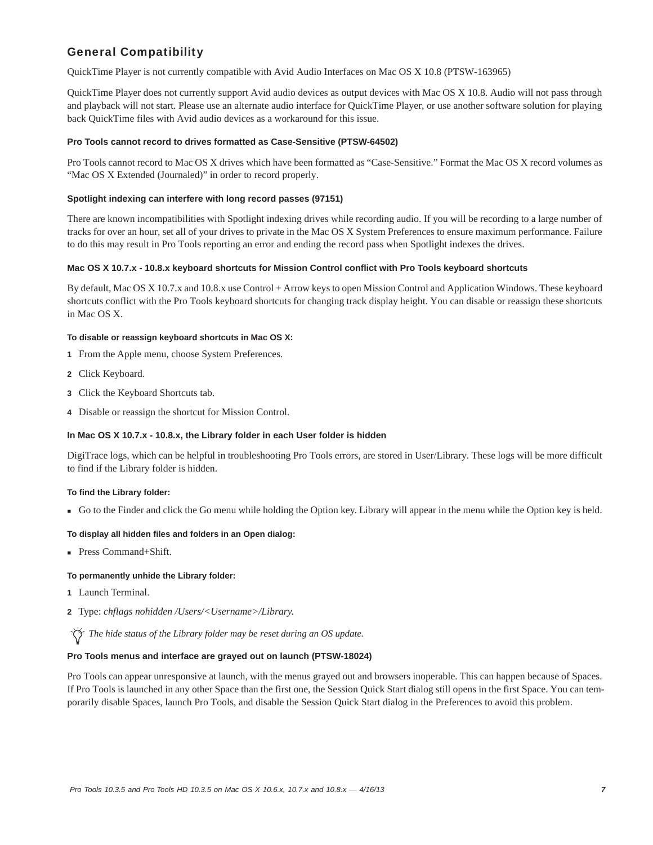# General Compatibility

QuickTime Player is not currently compatible with Avid Audio Interfaces on Mac OS X 10.8 (PTSW-163965)

QuickTime Player does not currently support Avid audio devices as output devices with Mac OS X 10.8. Audio will not pass through and playback will not start. Please use an alternate audio interface for QuickTime Player, or use another software solution for playing back QuickTime files with Avid audio devices as a workaround for this issue.

#### **Pro Tools cannot record to drives formatted as Case-Sensitive (PTSW-64502)**

Pro Tools cannot record to Mac OS X drives which have been formatted as "Case-Sensitive." Format the Mac OS X record volumes as "Mac OS X Extended (Journaled)" in order to record properly.

#### **Spotlight indexing can interfere with long record passes (97151)**

There are known incompatibilities with Spotlight indexing drives while recording audio. If you will be recording to a large number of tracks for over an hour, set all of your drives to private in the Mac OS X System Preferences to ensure maximum performance. Failure to do this may result in Pro Tools reporting an error and ending the record pass when Spotlight indexes the drives.

#### **Mac OS X 10.7.x - 10.8.x keyboard shortcuts for Mission Control conflict with Pro Tools keyboard shortcuts**

By default, Mac OS X 10.7.x and 10.8.x use Control + Arrow keys to open Mission Control and Application Windows. These keyboard shortcuts conflict with the Pro Tools keyboard shortcuts for changing track display height. You can disable or reassign these shortcuts in Mac OS X.

#### **To disable or reassign keyboard shortcuts in Mac OS X:**

- **1** From the Apple menu, choose System Preferences.
- **2** Click Keyboard.
- **3** Click the Keyboard Shortcuts tab.
- **4** Disable or reassign the shortcut for Mission Control.

#### **In Mac OS X 10.7.x - 10.8.x, the Library folder in each User folder is hidden**

DigiTrace logs, which can be helpful in troubleshooting Pro Tools errors, are stored in User/Library. These logs will be more difficult to find if the Library folder is hidden.

#### **To find the Library folder:**

Go to the Finder and click the Go menu while holding the Option key. Library will appear in the menu while the Option key is held.

#### **To display all hidden files and folders in an Open dialog:**

■ Press Command+Shift.

#### **To permanently unhide the Library folder:**

- **1** Launch Terminal.
- **2** Type: *chflags nohidden /Users/<Username>/Library.*

*The hide status of the Library folder may be reset during an OS update.*

#### **Pro Tools menus and interface are grayed out on launch (PTSW-18024)**

Pro Tools can appear unresponsive at launch, with the menus grayed out and browsers inoperable. This can happen because of Spaces. If Pro Tools is launched in any other Space than the first one, the Session Quick Start dialog still opens in the first Space. You can temporarily disable Spaces, launch Pro Tools, and disable the Session Quick Start dialog in the Preferences to avoid this problem.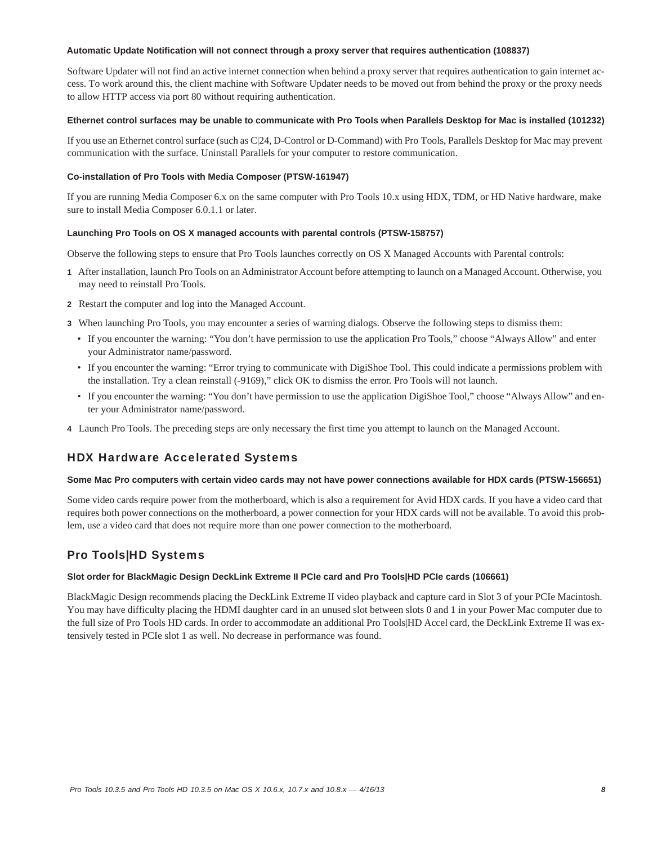#### **Automatic Update Notification will not connect through a proxy server that requires authentication (108837)**

Software Updater will not find an active internet connection when behind a proxy server that requires authentication to gain internet access. To work around this, the client machine with Software Updater needs to be moved out from behind the proxy or the proxy needs to allow HTTP access via port 80 without requiring authentication.

#### **Ethernet control surfaces may be unable to communicate with Pro Tools when Parallels Desktop for Mac is installed (101232)**

If you use an Ethernet control surface (such as C|24, D-Control or D-Command) with Pro Tools, Parallels Desktop for Mac may prevent communication with the surface. Uninstall Parallels for your computer to restore communication.

#### **Co-installation of Pro Tools with Media Composer (PTSW-161947)**

If you are running Media Composer 6.x on the same computer with Pro Tools 10.x using HDX, TDM, or HD Native hardware, make sure to install Media Composer 6.0.1.1 or later.

#### **Launching Pro Tools on OS X managed accounts with parental controls (PTSW-158757)**

Observe the following steps to ensure that Pro Tools launches correctly on OS X Managed Accounts with Parental controls:

- **1** After installation, launch Pro Tools on an Administrator Account before attempting to launch on a Managed Account. Otherwise, you may need to reinstall Pro Tools.
- **2** Restart the computer and log into the Managed Account.
- **3** When launching Pro Tools, you may encounter a series of warning dialogs. Observe the following steps to dismiss them:
	- If you encounter the warning: "You don't have permission to use the application Pro Tools," choose "Always Allow" and enter your Administrator name/password.
	- If you encounter the warning: "Error trying to communicate with DigiShoe Tool. This could indicate a permissions problem with the installation. Try a clean reinstall (-9169)," click OK to dismiss the error. Pro Tools will not launch.
	- If you encounter the warning: "You don't have permission to use the application DigiShoe Tool," choose "Always Allow" and enter your Administrator name/password.
- **4** Launch Pro Tools. The preceding steps are only necessary the first time you attempt to launch on the Managed Account.

### HDX Hardware Accelerated Systems

#### **Some Mac Pro computers with certain video cards may not have power connections available for HDX cards (PTSW-156651)**

Some video cards require power from the motherboard, which is also a requirement for Avid HDX cards. If you have a video card that requires both power connections on the motherboard, a power connection for your HDX cards will not be available. To avoid this problem, use a video card that does not require more than one power connection to the motherboard.

# Pro Tools|HD Systems

#### **Slot order for BlackMagic Design DeckLink Extreme II PCIe card and Pro Tools|HD PCIe cards (106661)**

BlackMagic Design recommends placing the DeckLink Extreme II video playback and capture card in Slot 3 of your PCIe Macintosh. You may have difficulty placing the HDMI daughter card in an unused slot between slots 0 and 1 in your Power Mac computer due to the full size of Pro Tools HD cards. In order to accommodate an additional Pro Tools|HD Accel card, the DeckLink Extreme II was extensively tested in PCIe slot 1 as well. No decrease in performance was found.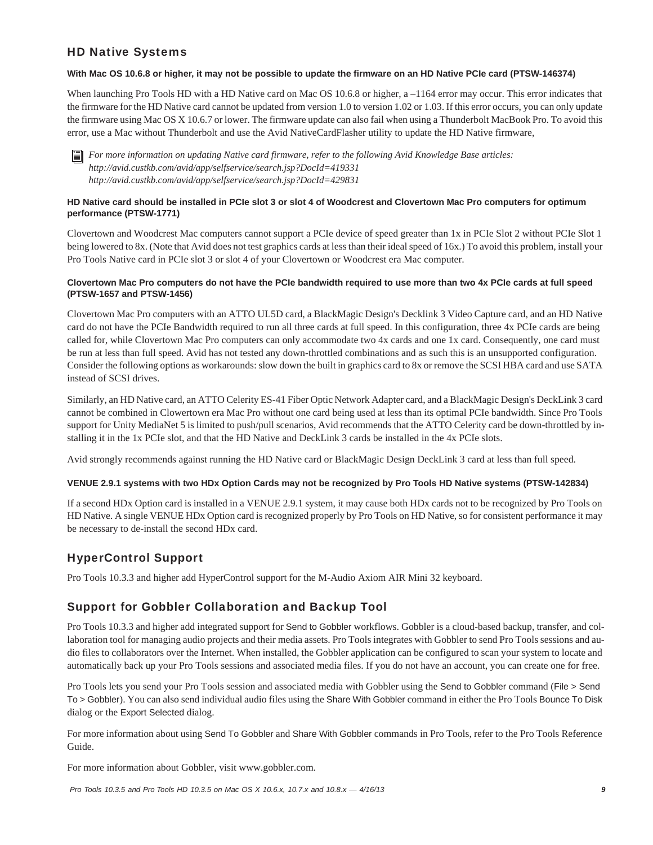# HD Native Systems

#### **With Mac OS 10.6.8 or higher, it may not be possible to update the firmware on an HD Native PCIe card (PTSW-146374)**

When launching Pro Tools HD with a HD Native card on Mac OS 10.6.8 or higher, a –1164 error may occur. This error indicates that the firmware for the HD Native card cannot be updated from version 1.0 to version 1.02 or 1.03. If this error occurs, you can only update the firmware using Mac OS X 10.6.7 or lower. The firmware update can also fail when using a Thunderbolt MacBook Pro. To avoid this error, use a Mac without Thunderbolt and use the Avid NativeCardFlasher utility to update the HD Native firmware,

*For more information on updating Native card firmware, refer to the following Avid Knowledge Base articles: http://avid.custkb.com/avid/app/selfservice/search.jsp?DocId=419331 http://avid.custkb.com/avid/app/selfservice/search.jsp?DocId=429831*

#### **HD Native card should be installed in PCIe slot 3 or slot 4 of Woodcrest and Clovertown Mac Pro computers for optimum performance (PTSW-1771)**

Clovertown and Woodcrest Mac computers cannot support a PCIe device of speed greater than 1x in PCIe Slot 2 without PCIe Slot 1 being lowered to 8x. (Note that Avid does not test graphics cards at less than their ideal speed of 16x.) To avoid this problem, install your Pro Tools Native card in PCIe slot 3 or slot 4 of your Clovertown or Woodcrest era Mac computer.

#### **Clovertown Mac Pro computers do not have the PCIe bandwidth required to use more than two 4x PCIe cards at full speed (PTSW-1657 and PTSW-1456)**

Clovertown Mac Pro computers with an ATTO UL5D card, a BlackMagic Design's Decklink 3 Video Capture card, and an HD Native card do not have the PCIe Bandwidth required to run all three cards at full speed. In this configuration, three 4x PCIe cards are being called for, while Clovertown Mac Pro computers can only accommodate two 4x cards and one 1x card. Consequently, one card must be run at less than full speed. Avid has not tested any down-throttled combinations and as such this is an unsupported configuration. Consider the following options as workarounds: slow down the built in graphics card to 8x or remove the SCSI HBA card and use SATA instead of SCSI drives.

Similarly, an HD Native card, an ATTO Celerity ES-41 Fiber Optic Network Adapter card, and a BlackMagic Design's DeckLink 3 card cannot be combined in Clowertown era Mac Pro without one card being used at less than its optimal PCIe bandwidth. Since Pro Tools support for Unity MediaNet 5 is limited to push/pull scenarios, Avid recommends that the ATTO Celerity card be down-throttled by installing it in the 1x PCIe slot, and that the HD Native and DeckLink 3 cards be installed in the 4x PCIe slots.

Avid strongly recommends against running the HD Native card or BlackMagic Design DeckLink 3 card at less than full speed.

#### **VENUE 2.9.1 systems with two HDx Option Cards may not be recognized by Pro Tools HD Native systems (PTSW-142834)**

If a second HDx Option card is installed in a VENUE 2.9.1 system, it may cause both HDx cards not to be recognized by Pro Tools on HD Native. A single VENUE HDx Option card is recognized properly by Pro Tools on HD Native, so for consistent performance it may be necessary to de-install the second HDx card.

# HyperControl Support

Pro Tools 10.3.3 and higher add HyperControl support for the M-Audio Axiom AIR Mini 32 keyboard.

# Support for Gobbler Collaboration and Backup Tool

Pro Tools 10.3.3 and higher add integrated support for Send to Gobbler workflows. Gobbler is a cloud-based backup, transfer, and collaboration tool for managing audio projects and their media assets. Pro Tools integrates with Gobbler to send Pro Tools sessions and audio files to collaborators over the Internet. When installed, the Gobbler application can be configured to scan your system to locate and automatically back up your Pro Tools sessions and associated media files. If you do not have an account, you can create one for free.

Pro Tools lets you send your Pro Tools session and associated media with Gobbler using the Send to Gobbler command (File > Send To > Gobbler). You can also send individual audio files using the Share With Gobbler command in either the Pro Tools Bounce To Disk dialog or the Export Selected dialog.

For more information about using Send To Gobbler and Share With Gobbler commands in Pro Tools, refer to the Pro Tools Reference Guide.

For more information about Gobbler, visit www.gobbler.com.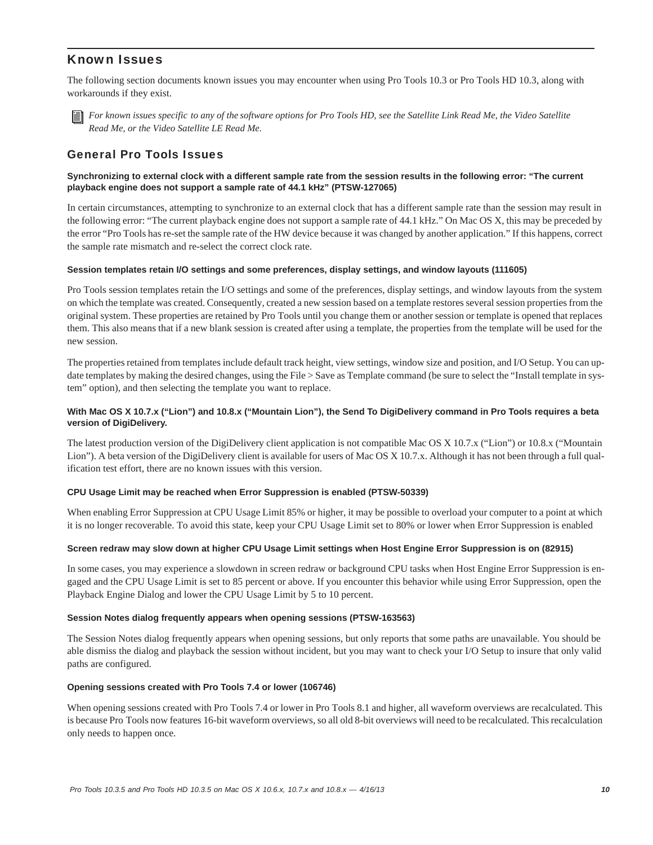## Known Issues

The following section documents known issues you may encounter when using Pro Tools 10.3 or Pro Tools HD 10.3, along with workarounds if they exist.



*For known issues specific to any of the software options for Pro Tools HD, see the Satellite Link Read Me, the Video Satellite Read Me, or the Video Satellite LE Read Me.*

### General Pro Tools Issues

#### **Synchronizing to external clock with a different sample rate from the session results in the following error: "The current playback engine does not support a sample rate of 44.1 kHz" (PTSW-127065)**

In certain circumstances, attempting to synchronize to an external clock that has a different sample rate than the session may result in the following error: "The current playback engine does not support a sample rate of 44.1 kHz." On Mac OS X, this may be preceded by the error "Pro Tools has re-set the sample rate of the HW device because it was changed by another application." If this happens, correct the sample rate mismatch and re-select the correct clock rate.

#### **Session templates retain I/O settings and some preferences, display settings, and window layouts (111605)**

Pro Tools session templates retain the I/O settings and some of the preferences, display settings, and window layouts from the system on which the template was created. Consequently, created a new session based on a template restores several session properties from the original system. These properties are retained by Pro Tools until you change them or another session or template is opened that replaces them. This also means that if a new blank session is created after using a template, the properties from the template will be used for the new session.

The properties retained from templates include default track height, view settings, window size and position, and I/O Setup. You can update templates by making the desired changes, using the File > Save as Template command (be sure to select the "Install template in system" option), and then selecting the template you want to replace.

#### **With Mac OS X 10.7.x ("Lion") and 10.8.x ("Mountain Lion"), the Send To DigiDelivery command in Pro Tools requires a beta version of DigiDelivery.**

The latest production version of the DigiDelivery client application is not compatible Mac OS X 10.7.x ("Lion") or 10.8.x ("Mountain Lion"). A beta version of the DigiDelivery client is available for users of Mac OS X 10.7.x. Although it has not been through a full qualification test effort, there are no known issues with this version.

#### **CPU Usage Limit may be reached when Error Suppression is enabled (PTSW-50339)**

When enabling Error Suppression at CPU Usage Limit 85% or higher, it may be possible to overload your computer to a point at which it is no longer recoverable. To avoid this state, keep your CPU Usage Limit set to 80% or lower when Error Suppression is enabled

#### **Screen redraw may slow down at higher CPU Usage Limit settings when Host Engine Error Suppression is on (82915)**

In some cases, you may experience a slowdown in screen redraw or background CPU tasks when Host Engine Error Suppression is engaged and the CPU Usage Limit is set to 85 percent or above. If you encounter this behavior while using Error Suppression, open the Playback Engine Dialog and lower the CPU Usage Limit by 5 to 10 percent.

#### **Session Notes dialog frequently appears when opening sessions (PTSW-163563)**

The Session Notes dialog frequently appears when opening sessions, but only reports that some paths are unavailable. You should be able dismiss the dialog and playback the session without incident, but you may want to check your I/O Setup to insure that only valid paths are configured.

#### **Opening sessions created with Pro Tools 7.4 or lower (106746)**

When opening sessions created with Pro Tools 7.4 or lower in Pro Tools 8.1 and higher, all waveform overviews are recalculated. This is because Pro Tools now features 16-bit waveform overviews, so all old 8-bit overviews will need to be recalculated. This recalculation only needs to happen once.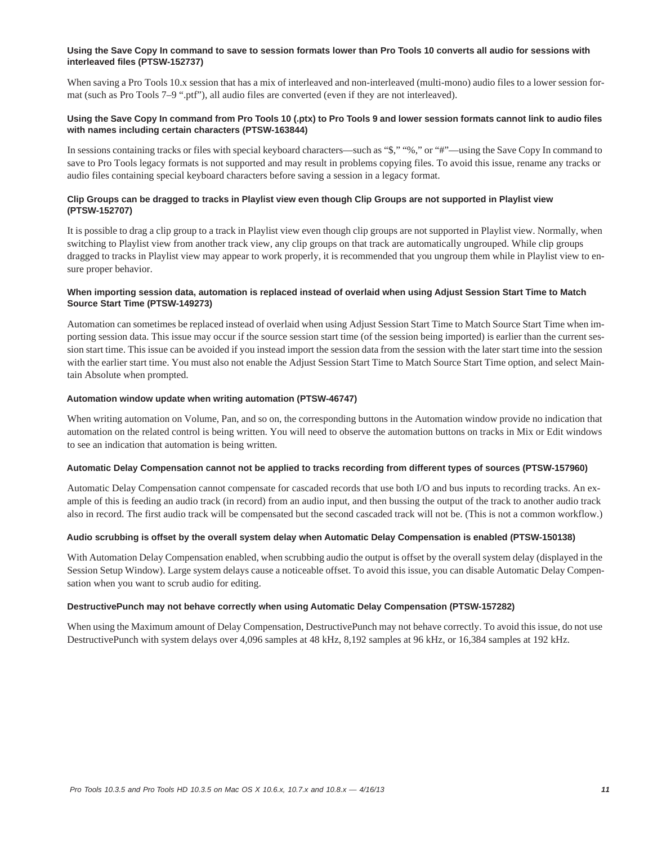#### **Using the Save Copy In command to save to session formats lower than Pro Tools 10 converts all audio for sessions with interleaved files (PTSW-152737)**

When saving a Pro Tools 10.x session that has a mix of interleaved and non-interleaved (multi-mono) audio files to a lower session format (such as Pro Tools 7–9 ".ptf"), all audio files are converted (even if they are not interleaved).

#### **Using the Save Copy In command from Pro Tools 10 (.ptx) to Pro Tools 9 and lower session formats cannot link to audio files with names including certain characters (PTSW-163844)**

In sessions containing tracks or files with special keyboard characters—such as "\$," "%," or "#"—using the Save Copy In command to save to Pro Tools legacy formats is not supported and may result in problems copying files. To avoid this issue, rename any tracks or audio files containing special keyboard characters before saving a session in a legacy format.

#### **Clip Groups can be dragged to tracks in Playlist view even though Clip Groups are not supported in Playlist view (PTSW-152707)**

It is possible to drag a clip group to a track in Playlist view even though clip groups are not supported in Playlist view. Normally, when switching to Playlist view from another track view, any clip groups on that track are automatically ungrouped. While clip groups dragged to tracks in Playlist view may appear to work properly, it is recommended that you ungroup them while in Playlist view to ensure proper behavior.

#### **When importing session data, automation is replaced instead of overlaid when using Adjust Session Start Time to Match Source Start Time (PTSW-149273)**

Automation can sometimes be replaced instead of overlaid when using Adjust Session Start Time to Match Source Start Time when importing session data. This issue may occur if the source session start time (of the session being imported) is earlier than the current session start time. This issue can be avoided if you instead import the session data from the session with the later start time into the session with the earlier start time. You must also not enable the Adjust Session Start Time to Match Source Start Time option, and select Maintain Absolute when prompted.

#### **Automation window update when writing automation (PTSW-46747)**

When writing automation on Volume, Pan, and so on, the corresponding buttons in the Automation window provide no indication that automation on the related control is being written. You will need to observe the automation buttons on tracks in Mix or Edit windows to see an indication that automation is being written.

#### **Automatic Delay Compensation cannot not be applied to tracks recording from different types of sources (PTSW-157960)**

Automatic Delay Compensation cannot compensate for cascaded records that use both I/O and bus inputs to recording tracks. An example of this is feeding an audio track (in record) from an audio input, and then bussing the output of the track to another audio track also in record. The first audio track will be compensated but the second cascaded track will not be. (This is not a common workflow.)

#### **Audio scrubbing is offset by the overall system delay when Automatic Delay Compensation is enabled (PTSW-150138)**

With Automation Delay Compensation enabled, when scrubbing audio the output is offset by the overall system delay (displayed in the Session Setup Window). Large system delays cause a noticeable offset. To avoid this issue, you can disable Automatic Delay Compensation when you want to scrub audio for editing.

#### **DestructivePunch may not behave correctly when using Automatic Delay Compensation (PTSW-157282)**

When using the Maximum amount of Delay Compensation, DestructivePunch may not behave correctly. To avoid this issue, do not use DestructivePunch with system delays over 4,096 samples at 48 kHz, 8,192 samples at 96 kHz, or 16,384 samples at 192 kHz.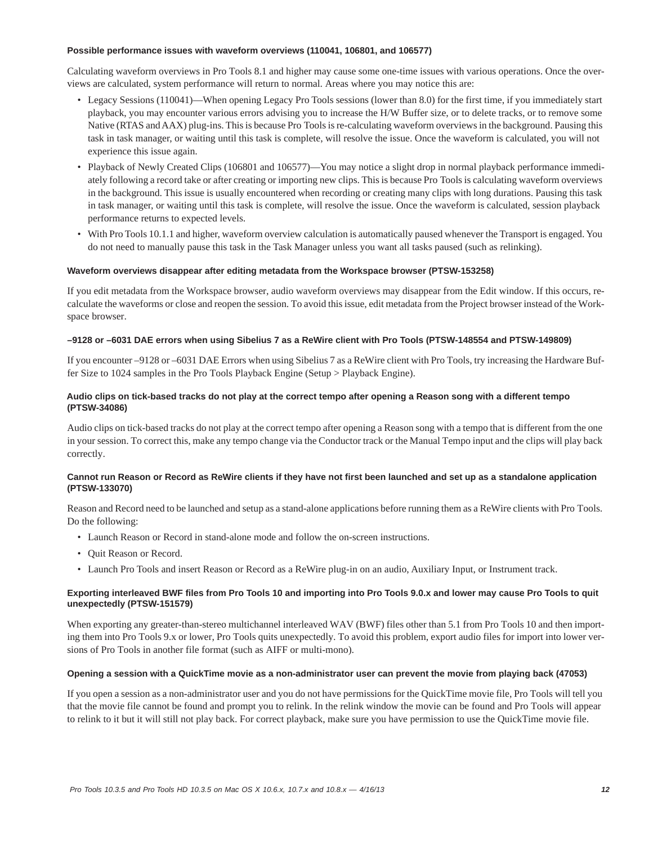#### **Possible performance issues with waveform overviews (110041, 106801, and 106577)**

Calculating waveform overviews in Pro Tools 8.1 and higher may cause some one-time issues with various operations. Once the overviews are calculated, system performance will return to normal. Areas where you may notice this are:

- Legacy Sessions (110041)—When opening Legacy Pro Tools sessions (lower than 8.0) for the first time, if you immediately start playback, you may encounter various errors advising you to increase the H/W Buffer size, or to delete tracks, or to remove some Native (RTAS and AAX) plug-ins. This is because Pro Tools is re-calculating waveform overviews in the background. Pausing this task in task manager, or waiting until this task is complete, will resolve the issue. Once the waveform is calculated, you will not experience this issue again.
- Playback of Newly Created Clips (106801 and 106577)—You may notice a slight drop in normal playback performance immediately following a record take or after creating or importing new clips. This is because Pro Tools is calculating waveform overviews in the background. This issue is usually encountered when recording or creating many clips with long durations. Pausing this task in task manager, or waiting until this task is complete, will resolve the issue. Once the waveform is calculated, session playback performance returns to expected levels.
- With Pro Tools 10.1.1 and higher, waveform overview calculation is automatically paused whenever the Transport is engaged. You do not need to manually pause this task in the Task Manager unless you want all tasks paused (such as relinking).

#### **Waveform overviews disappear after editing metadata from the Workspace browser (PTSW-153258)**

If you edit metadata from the Workspace browser, audio waveform overviews may disappear from the Edit window. If this occurs, recalculate the waveforms or close and reopen the session. To avoid this issue, edit metadata from the Project browser instead of the Workspace browser.

#### **–9128 or –6031 DAE errors when using Sibelius 7 as a ReWire client with Pro Tools (PTSW-148554 and PTSW-149809)**

If you encounter –9128 or –6031 DAE Errors when using Sibelius 7 as a ReWire client with Pro Tools, try increasing the Hardware Buffer Size to 1024 samples in the Pro Tools Playback Engine (Setup > Playback Engine).

#### **Audio clips on tick-based tracks do not play at the correct tempo after opening a Reason song with a different tempo (PTSW-34086)**

Audio clips on tick-based tracks do not play at the correct tempo after opening a Reason song with a tempo that is different from the one in your session. To correct this, make any tempo change via the Conductor track or the Manual Tempo input and the clips will play back correctly.

#### **Cannot run Reason or Record as ReWire clients if they have not first been launched and set up as a standalone application (PTSW-133070)**

Reason and Record need to be launched and setup as a stand-alone applications before running them as a ReWire clients with Pro Tools. Do the following:

- Launch Reason or Record in stand-alone mode and follow the on-screen instructions.
- Quit Reason or Record.
- Launch Pro Tools and insert Reason or Record as a ReWire plug-in on an audio, Auxiliary Input, or Instrument track.

#### **Exporting interleaved BWF files from Pro Tools 10 and importing into Pro Tools 9.0.x and lower may cause Pro Tools to quit unexpectedly (PTSW-151579)**

When exporting any greater-than-stereo multichannel interleaved WAV (BWF) files other than 5.1 from Pro Tools 10 and then importing them into Pro Tools 9.x or lower, Pro Tools quits unexpectedly. To avoid this problem, export audio files for import into lower versions of Pro Tools in another file format (such as AIFF or multi-mono).

#### **Opening a session with a QuickTime movie as a non-administrator user can prevent the movie from playing back (47053)**

If you open a session as a non-administrator user and you do not have permissions for the QuickTime movie file, Pro Tools will tell you that the movie file cannot be found and prompt you to relink. In the relink window the movie can be found and Pro Tools will appear to relink to it but it will still not play back. For correct playback, make sure you have permission to use the QuickTime movie file.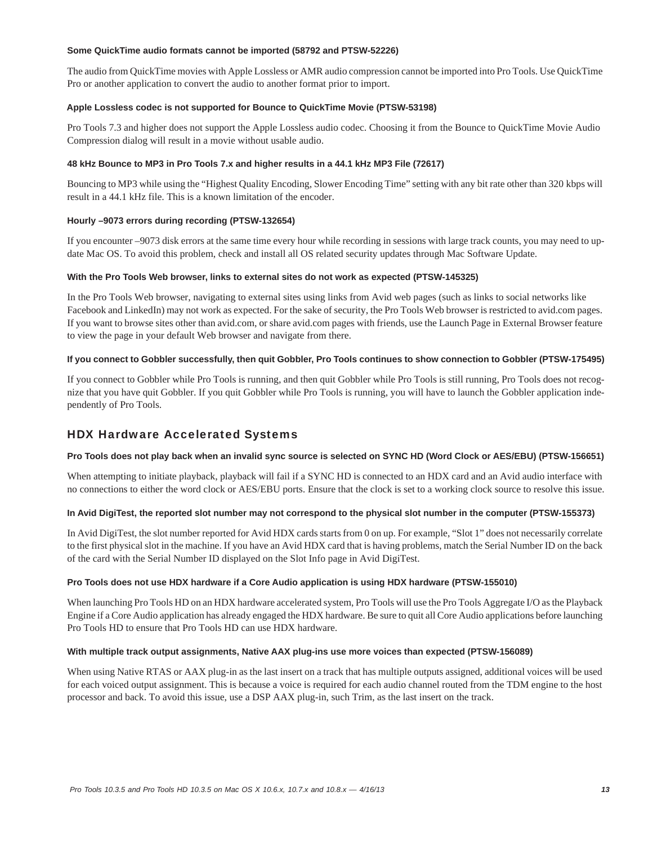#### **Some QuickTime audio formats cannot be imported (58792 and PTSW-52226)**

The audio from QuickTime movies with Apple Lossless or AMR audio compression cannot be imported into Pro Tools. Use QuickTime Pro or another application to convert the audio to another format prior to import.

#### **Apple Lossless codec is not supported for Bounce to QuickTime Movie (PTSW-53198)**

Pro Tools 7.3 and higher does not support the Apple Lossless audio codec. Choosing it from the Bounce to QuickTime Movie Audio Compression dialog will result in a movie without usable audio.

#### **48 kHz Bounce to MP3 in Pro Tools 7.x and higher results in a 44.1 kHz MP3 File (72617)**

Bouncing to MP3 while using the "Highest Quality Encoding, Slower Encoding Time" setting with any bit rate other than 320 kbps will result in a 44.1 kHz file. This is a known limitation of the encoder.

#### **Hourly –9073 errors during recording (PTSW-132654)**

If you encounter –9073 disk errors at the same time every hour while recording in sessions with large track counts, you may need to update Mac OS. To avoid this problem, check and install all OS related security updates through Mac Software Update.

#### **With the Pro Tools Web browser, links to external sites do not work as expected (PTSW-145325)**

In the Pro Tools Web browser, navigating to external sites using links from Avid web pages (such as links to social networks like Facebook and LinkedIn) may not work as expected. For the sake of security, the Pro Tools Web browser is restricted to avid.com pages. If you want to browse sites other than avid.com, or share avid.com pages with friends, use the Launch Page in External Browser feature to view the page in your default Web browser and navigate from there.

#### **If you connect to Gobbler successfully, then quit Gobbler, Pro Tools continues to show connection to Gobbler (PTSW-175495)**

If you connect to Gobbler while Pro Tools is running, and then quit Gobbler while Pro Tools is still running, Pro Tools does not recognize that you have quit Gobbler. If you quit Gobbler while Pro Tools is running, you will have to launch the Gobbler application independently of Pro Tools.

### HDX Hardware Accelerated Systems

#### **Pro Tools does not play back when an invalid sync source is selected on SYNC HD (Word Clock or AES/EBU) (PTSW-156651)**

When attempting to initiate playback, playback will fail if a SYNC HD is connected to an HDX card and an Avid audio interface with no connections to either the word clock or AES/EBU ports. Ensure that the clock is set to a working clock source to resolve this issue.

#### **In Avid DigiTest, the reported slot number may not correspond to the physical slot number in the computer (PTSW-155373)**

In Avid DigiTest, the slot number reported for Avid HDX cards starts from 0 on up. For example, "Slot 1" does not necessarily correlate to the first physical slot in the machine. If you have an Avid HDX card that is having problems, match the Serial Number ID on the back of the card with the Serial Number ID displayed on the Slot Info page in Avid DigiTest.

#### **Pro Tools does not use HDX hardware if a Core Audio application is using HDX hardware (PTSW-155010)**

When launching Pro Tools HD on an HDX hardware accelerated system, Pro Tools will use the Pro Tools Aggregate I/O as the Playback Engine if a Core Audio application has already engaged the HDX hardware. Be sure to quit all Core Audio applications before launching Pro Tools HD to ensure that Pro Tools HD can use HDX hardware.

#### **With multiple track output assignments, Native AAX plug-ins use more voices than expected (PTSW-156089)**

When using Native RTAS or AAX plug-in as the last insert on a track that has multiple outputs assigned, additional voices will be used for each voiced output assignment. This is because a voice is required for each audio channel routed from the TDM engine to the host processor and back. To avoid this issue, use a DSP AAX plug-in, such Trim, as the last insert on the track.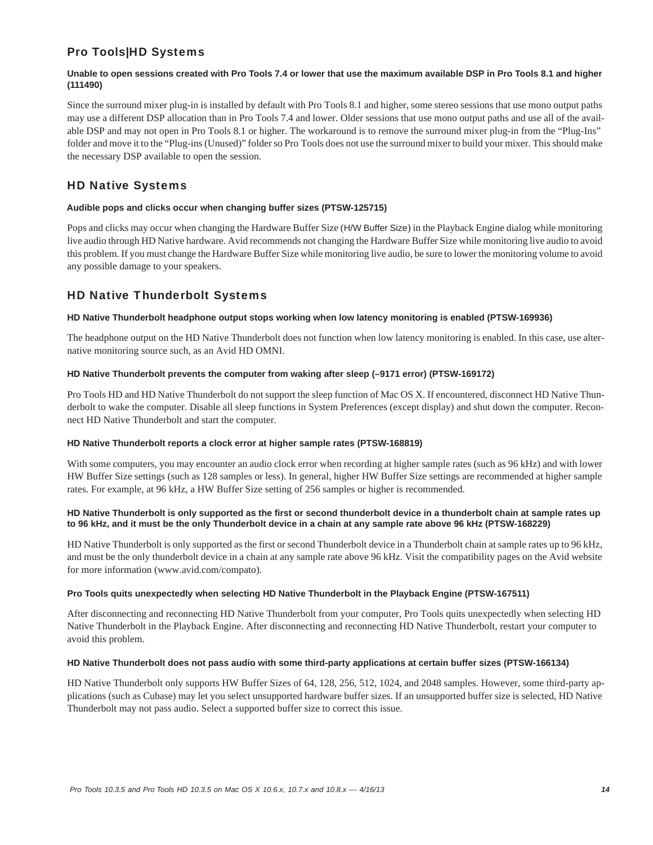# Pro Tools|HD Systems

#### **Unable to open sessions created with Pro Tools 7.4 or lower that use the maximum available DSP in Pro Tools 8.1 and higher (111490)**

Since the surround mixer plug-in is installed by default with Pro Tools 8.1 and higher, some stereo sessions that use mono output paths may use a different DSP allocation than in Pro Tools 7.4 and lower. Older sessions that use mono output paths and use all of the available DSP and may not open in Pro Tools 8.1 or higher. The workaround is to remove the surround mixer plug-in from the "Plug-Ins" folder and move it to the "Plug-ins (Unused)" folder so Pro Tools does not use the surround mixer to build your mixer. This should make the necessary DSP available to open the session.

# HD Native Systems

#### **Audible pops and clicks occur when changing buffer sizes (PTSW-125715)**

Pops and clicks may occur when changing the Hardware Buffer Size (H/W Buffer Size) in the Playback Engine dialog while monitoring live audio through HD Native hardware. Avid recommends not changing the Hardware Buffer Size while monitoring live audio to avoid this problem. If you must change the Hardware Buffer Size while monitoring live audio, be sure to lower the monitoring volume to avoid any possible damage to your speakers.

# HD Native Thunderbolt Systems

#### **HD Native Thunderbolt headphone output stops working when low latency monitoring is enabled (PTSW-169936)**

The headphone output on the HD Native Thunderbolt does not function when low latency monitoring is enabled. In this case, use alternative monitoring source such, as an Avid HD OMNI.

#### **HD Native Thunderbolt prevents the computer from waking after sleep (–9171 error) (PTSW-169172)**

Pro Tools HD and HD Native Thunderbolt do not support the sleep function of Mac OS X. If encountered, disconnect HD Native Thunderbolt to wake the computer. Disable all sleep functions in System Preferences (except display) and shut down the computer. Reconnect HD Native Thunderbolt and start the computer.

#### **HD Native Thunderbolt reports a clock error at higher sample rates (PTSW-168819)**

With some computers, you may encounter an audio clock error when recording at higher sample rates (such as 96 kHz) and with lower HW Buffer Size settings (such as 128 samples or less). In general, higher HW Buffer Size settings are recommended at higher sample rates. For example, at 96 kHz, a HW Buffer Size setting of 256 samples or higher is recommended.

#### **HD Native Thunderbolt is only supported as the first or second thunderbolt device in a thunderbolt chain at sample rates up to 96 kHz, and it must be the only Thunderbolt device in a chain at any sample rate above 96 kHz (PTSW-168229)**

HD Native Thunderbolt is only supported as the first or second Thunderbolt device in a Thunderbolt chain at sample rates up to 96 kHz, and must be the only thunderbolt device in a chain at any sample rate above 96 kHz. Visit the compatibility pages on the Avid website for more information (www.avid.com/compato).

#### **Pro Tools quits unexpectedly when selecting HD Native Thunderbolt in the Playback Engine (PTSW-167511)**

After disconnecting and reconnecting HD Native Thunderbolt from your computer, Pro Tools quits unexpectedly when selecting HD Native Thunderbolt in the Playback Engine. After disconnecting and reconnecting HD Native Thunderbolt, restart your computer to avoid this problem.

#### **HD Native Thunderbolt does not pass audio with some third-party applications at certain buffer sizes (PTSW-166134)**

HD Native Thunderbolt only supports HW Buffer Sizes of 64, 128, 256, 512, 1024, and 2048 samples. However, some third-party applications (such as Cubase) may let you select unsupported hardware buffer sizes. If an unsupported buffer size is selected, HD Native Thunderbolt may not pass audio. Select a supported buffer size to correct this issue.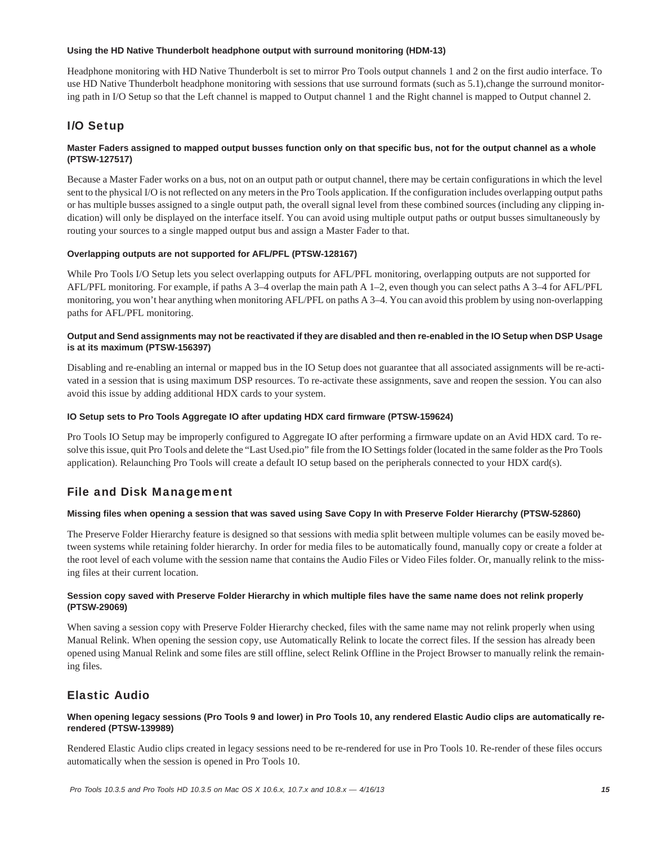#### **Using the HD Native Thunderbolt headphone output with surround monitoring (HDM-13)**

Headphone monitoring with HD Native Thunderbolt is set to mirror Pro Tools output channels 1 and 2 on the first audio interface. To use HD Native Thunderbolt headphone monitoring with sessions that use surround formats (such as 5.1), change the surround monitoring path in I/O Setup so that the Left channel is mapped to Output channel 1 and the Right channel is mapped to Output channel 2.

# I/O Setup

#### **Master Faders assigned to mapped output busses function only on that specific bus, not for the output channel as a whole (PTSW-127517)**

Because a Master Fader works on a bus, not on an output path or output channel, there may be certain configurations in which the level sent to the physical I/O is not reflected on any meters in the Pro Tools application. If the configuration includes overlapping output paths or has multiple busses assigned to a single output path, the overall signal level from these combined sources (including any clipping indication) will only be displayed on the interface itself. You can avoid using multiple output paths or output busses simultaneously by routing your sources to a single mapped output bus and assign a Master Fader to that.

#### **Overlapping outputs are not supported for AFL/PFL (PTSW-128167)**

While Pro Tools I/O Setup lets you select overlapping outputs for AFL/PFL monitoring, overlapping outputs are not supported for AFL/PFL monitoring. For example, if paths A 3–4 overlap the main path A 1–2, even though you can select paths A 3–4 for AFL/PFL monitoring, you won't hear anything when monitoring AFL/PFL on paths A 3–4. You can avoid this problem by using non-overlapping paths for AFL/PFL monitoring.

#### **Output and Send assignments may not be reactivated if they are disabled and then re-enabled in the IO Setup when DSP Usage is at its maximum (PTSW-156397)**

Disabling and re-enabling an internal or mapped bus in the IO Setup does not guarantee that all associated assignments will be re-activated in a session that is using maximum DSP resources. To re-activate these assignments, save and reopen the session. You can also avoid this issue by adding additional HDX cards to your system.

#### **IO Setup sets to Pro Tools Aggregate IO after updating HDX card firmware (PTSW-159624)**

Pro Tools IO Setup may be improperly configured to Aggregate IO after performing a firmware update on an Avid HDX card. To resolve this issue, quit Pro Tools and delete the "Last Used.pio" file from the IO Settings folder (located in the same folder as the Pro Tools application). Relaunching Pro Tools will create a default IO setup based on the peripherals connected to your HDX card(s).

### File and Disk Management

#### **Missing files when opening a session that was saved using Save Copy In with Preserve Folder Hierarchy (PTSW-52860)**

The Preserve Folder Hierarchy feature is designed so that sessions with media split between multiple volumes can be easily moved between systems while retaining folder hierarchy. In order for media files to be automatically found, manually copy or create a folder at the root level of each volume with the session name that contains the Audio Files or Video Files folder. Or, manually relink to the missing files at their current location.

#### **Session copy saved with Preserve Folder Hierarchy in which multiple files have the same name does not relink properly (PTSW-29069)**

When saving a session copy with Preserve Folder Hierarchy checked, files with the same name may not relink properly when using Manual Relink. When opening the session copy, use Automatically Relink to locate the correct files. If the session has already been opened using Manual Relink and some files are still offline, select Relink Offline in the Project Browser to manually relink the remaining files.

### Elastic Audio

#### **When opening legacy sessions (Pro Tools 9 and lower) in Pro Tools 10, any rendered Elastic Audio clips are automatically rerendered (PTSW-139989)**

Rendered Elastic Audio clips created in legacy sessions need to be re-rendered for use in Pro Tools 10. Re-render of these files occurs automatically when the session is opened in Pro Tools 10.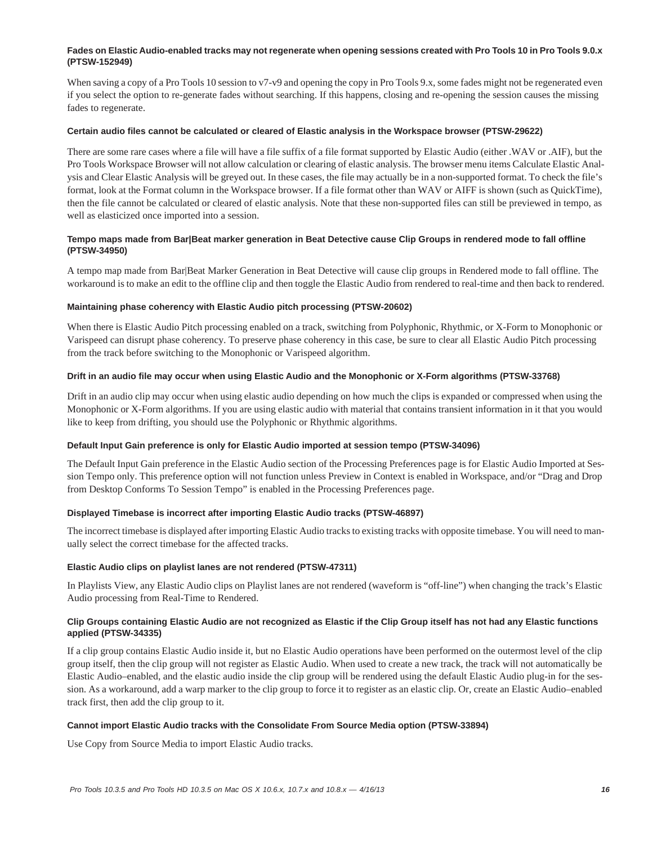#### **Fades on Elastic Audio-enabled tracks may not regenerate when opening sessions created with Pro Tools 10 in Pro Tools 9.0.x (PTSW-152949)**

When saving a copy of a Pro Tools 10 session to v7-v9 and opening the copy in Pro Tools 9.x, some fades might not be regenerated even if you select the option to re-generate fades without searching. If this happens, closing and re-opening the session causes the missing fades to regenerate.

#### **Certain audio files cannot be calculated or cleared of Elastic analysis in the Workspace browser (PTSW-29622)**

There are some rare cases where a file will have a file suffix of a file format supported by Elastic Audio (either .WAV or .AIF), but the Pro Tools Workspace Browser will not allow calculation or clearing of elastic analysis. The browser menu items Calculate Elastic Analysis and Clear Elastic Analysis will be greyed out. In these cases, the file may actually be in a non-supported format. To check the file's format, look at the Format column in the Workspace browser. If a file format other than WAV or AIFF is shown (such as QuickTime), then the file cannot be calculated or cleared of elastic analysis. Note that these non-supported files can still be previewed in tempo, as well as elasticized once imported into a session.

#### **Tempo maps made from Bar|Beat marker generation in Beat Detective cause Clip Groups in rendered mode to fall offline (PTSW-34950)**

A tempo map made from Bar|Beat Marker Generation in Beat Detective will cause clip groups in Rendered mode to fall offline. The workaround is to make an edit to the offline clip and then toggle the Elastic Audio from rendered to real-time and then back to rendered.

#### **Maintaining phase coherency with Elastic Audio pitch processing (PTSW-20602)**

When there is Elastic Audio Pitch processing enabled on a track, switching from Polyphonic, Rhythmic, or X-Form to Monophonic or Varispeed can disrupt phase coherency. To preserve phase coherency in this case, be sure to clear all Elastic Audio Pitch processing from the track before switching to the Monophonic or Varispeed algorithm.

#### **Drift in an audio file may occur when using Elastic Audio and the Monophonic or X-Form algorithms (PTSW-33768)**

Drift in an audio clip may occur when using elastic audio depending on how much the clips is expanded or compressed when using the Monophonic or X-Form algorithms. If you are using elastic audio with material that contains transient information in it that you would like to keep from drifting, you should use the Polyphonic or Rhythmic algorithms.

#### **Default Input Gain preference is only for Elastic Audio imported at session tempo (PTSW-34096)**

The Default Input Gain preference in the Elastic Audio section of the Processing Preferences page is for Elastic Audio Imported at Session Tempo only. This preference option will not function unless Preview in Context is enabled in Workspace, and/or "Drag and Drop from Desktop Conforms To Session Tempo" is enabled in the Processing Preferences page.

#### **Displayed Timebase is incorrect after importing Elastic Audio tracks (PTSW-46897)**

The incorrect timebase is displayed after importing Elastic Audio tracks to existing tracks with opposite timebase. You will need to manually select the correct timebase for the affected tracks.

#### **Elastic Audio clips on playlist lanes are not rendered (PTSW-47311)**

In Playlists View, any Elastic Audio clips on Playlist lanes are not rendered (waveform is "off-line") when changing the track's Elastic Audio processing from Real-Time to Rendered.

#### **Clip Groups containing Elastic Audio are not recognized as Elastic if the Clip Group itself has not had any Elastic functions applied (PTSW-34335)**

If a clip group contains Elastic Audio inside it, but no Elastic Audio operations have been performed on the outermost level of the clip group itself, then the clip group will not register as Elastic Audio. When used to create a new track, the track will not automatically be Elastic Audio–enabled, and the elastic audio inside the clip group will be rendered using the default Elastic Audio plug-in for the session. As a workaround, add a warp marker to the clip group to force it to register as an elastic clip. Or, create an Elastic Audio–enabled track first, then add the clip group to it.

#### **Cannot import Elastic Audio tracks with the Consolidate From Source Media option (PTSW-33894)**

Use Copy from Source Media to import Elastic Audio tracks.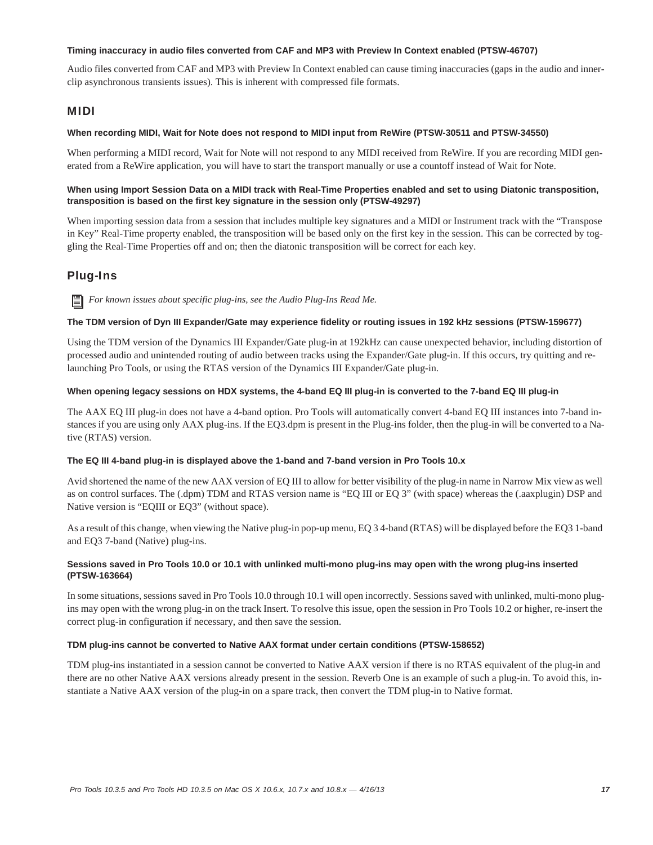#### **Timing inaccuracy in audio files converted from CAF and MP3 with Preview In Context enabled (PTSW-46707)**

Audio files converted from CAF and MP3 with Preview In Context enabled can cause timing inaccuracies (gaps in the audio and innerclip asynchronous transients issues). This is inherent with compressed file formats.

### MIDI

#### **When recording MIDI, Wait for Note does not respond to MIDI input from ReWire (PTSW-30511 and PTSW-34550)**

When performing a MIDI record, Wait for Note will not respond to any MIDI received from ReWire. If you are recording MIDI generated from a ReWire application, you will have to start the transport manually or use a countoff instead of Wait for Note.

#### **When using Import Session Data on a MIDI track with Real-Time Properties enabled and set to using Diatonic transposition, transposition is based on the first key signature in the session only (PTSW-49297)**

When importing session data from a session that includes multiple key signatures and a MIDI or Instrument track with the "Transpose in Key" Real-Time property enabled, the transposition will be based only on the first key in the session. This can be corrected by toggling the Real-Time Properties off and on; then the diatonic transposition will be correct for each key.

# Plug-Ins

*For known issues about specific plug-ins, see the Audio Plug-Ins Read Me.*

#### **The TDM version of Dyn III Expander/Gate may experience fidelity or routing issues in 192 kHz sessions (PTSW-159677)**

Using the TDM version of the Dynamics III Expander/Gate plug-in at 192kHz can cause unexpected behavior, including distortion of processed audio and unintended routing of audio between tracks using the Expander/Gate plug-in. If this occurs, try quitting and relaunching Pro Tools, or using the RTAS version of the Dynamics III Expander/Gate plug-in.

#### **When opening legacy sessions on HDX systems, the 4-band EQ III plug-in is converted to the 7-band EQ III plug-in**

The AAX EQ III plug-in does not have a 4-band option. Pro Tools will automatically convert 4-band EQ III instances into 7-band instances if you are using only AAX plug-ins. If the EQ3.dpm is present in the Plug-ins folder, then the plug-in will be converted to a Native (RTAS) version.

#### **The EQ III 4-band plug-in is displayed above the 1-band and 7-band version in Pro Tools 10.x**

Avid shortened the name of the new AAX version of EQ III to allow for better visibility of the plug-in name in Narrow Mix view as well as on control surfaces. The (.dpm) TDM and RTAS version name is "EQ III or EQ 3" (with space) whereas the (.aaxplugin) DSP and Native version is "EQIII or EQ3" (without space).

As a result of this change, when viewing the Native plug-in pop-up menu, EQ 3 4-band (RTAS) will be displayed before the EQ3 1-band and EQ3 7-band (Native) plug-ins.

#### **Sessions saved in Pro Tools 10.0 or 10.1 with unlinked multi-mono plug-ins may open with the wrong plug-ins inserted (PTSW-163664)**

In some situations, sessions saved in Pro Tools 10.0 through 10.1 will open incorrectly. Sessions saved with unlinked, multi-mono plugins may open with the wrong plug-in on the track Insert. To resolve this issue, open the session in Pro Tools 10.2 or higher, re-insert the correct plug-in configuration if necessary, and then save the session.

#### **TDM plug-ins cannot be converted to Native AAX format under certain conditions (PTSW-158652)**

TDM plug-ins instantiated in a session cannot be converted to Native AAX version if there is no RTAS equivalent of the plug-in and there are no other Native AAX versions already present in the session. Reverb One is an example of such a plug-in. To avoid this, instantiate a Native AAX version of the plug-in on a spare track, then convert the TDM plug-in to Native format.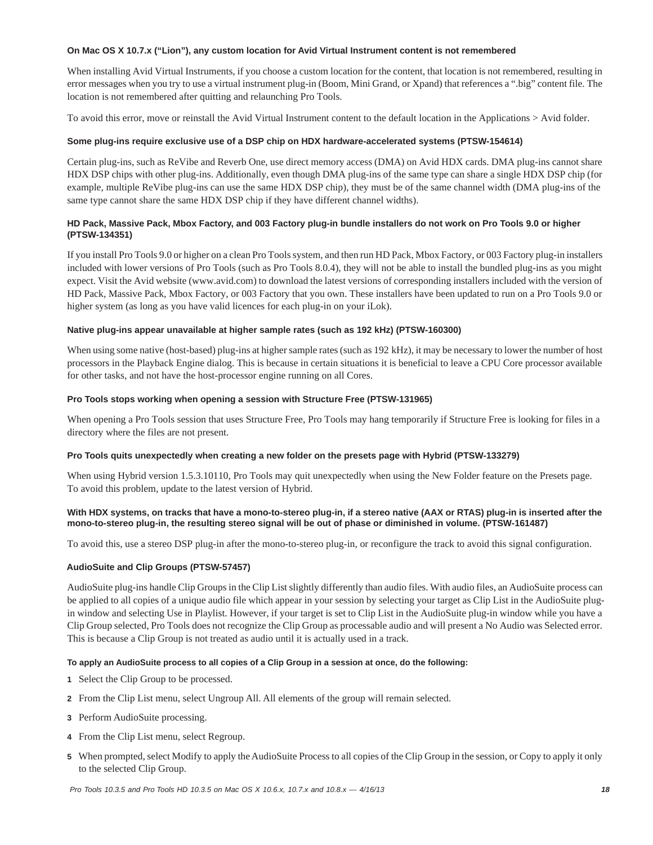#### **On Mac OS X 10.7.x ("Lion"), any custom location for Avid Virtual Instrument content is not remembered**

When installing Avid Virtual Instruments, if you choose a custom location for the content, that location is not remembered, resulting in error messages when you try to use a virtual instrument plug-in (Boom, Mini Grand, or Xpand) that references a ".big" content file. The location is not remembered after quitting and relaunching Pro Tools.

To avoid this error, move or reinstall the Avid Virtual Instrument content to the default location in the Applications > Avid folder.

#### **Some plug-ins require exclusive use of a DSP chip on HDX hardware-accelerated systems (PTSW-154614)**

Certain plug-ins, such as ReVibe and Reverb One, use direct memory access (DMA) on Avid HDX cards. DMA plug-ins cannot share HDX DSP chips with other plug-ins. Additionally, even though DMA plug-ins of the same type can share a single HDX DSP chip (for example, multiple ReVibe plug-ins can use the same HDX DSP chip), they must be of the same channel width (DMA plug-ins of the same type cannot share the same HDX DSP chip if they have different channel widths).

#### **HD Pack, Massive Pack, Mbox Factory, and 003 Factory plug-in bundle installers do not work on Pro Tools 9.0 or higher (PTSW-134351)**

If you install Pro Tools 9.0 or higher on a clean Pro Tools system, and then run HD Pack, Mbox Factory, or 003 Factory plug-in installers included with lower versions of Pro Tools (such as Pro Tools 8.0.4), they will not be able to install the bundled plug-ins as you might expect. Visit the Avid website (www.avid.com) to download the latest versions of corresponding installers included with the version of HD Pack, Massive Pack, Mbox Factory, or 003 Factory that you own. These installers have been updated to run on a Pro Tools 9.0 or higher system (as long as you have valid licences for each plug-in on your iLok).

#### **Native plug-ins appear unavailable at higher sample rates (such as 192 kHz) (PTSW-160300)**

When using some native (host-based) plug-ins at higher sample rates (such as 192 kHz), it may be necessary to lower the number of host processors in the Playback Engine dialog. This is because in certain situations it is beneficial to leave a CPU Core processor available for other tasks, and not have the host-processor engine running on all Cores.

#### **Pro Tools stops working when opening a session with Structure Free (PTSW-131965)**

When opening a Pro Tools session that uses Structure Free, Pro Tools may hang temporarily if Structure Free is looking for files in a directory where the files are not present.

#### **Pro Tools quits unexpectedly when creating a new folder on the presets page with Hybrid (PTSW-133279)**

When using Hybrid version 1.5.3.10110, Pro Tools may quit unexpectedly when using the New Folder feature on the Presets page. To avoid this problem, update to the latest version of Hybrid.

#### **With HDX systems, on tracks that have a mono-to-stereo plug-in, if a stereo native (AAX or RTAS) plug-in is inserted after the mono-to-stereo plug-in, the resulting stereo signal will be out of phase or diminished in volume. (PTSW-161487)**

To avoid this, use a stereo DSP plug-in after the mono-to-stereo plug-in, or reconfigure the track to avoid this signal configuration.

#### **AudioSuite and Clip Groups (PTSW-57457)**

AudioSuite plug-ins handle Clip Groups in the Clip List slightly differently than audio files. With audio files, an AudioSuite process can be applied to all copies of a unique audio file which appear in your session by selecting your target as Clip List in the AudioSuite plugin window and selecting Use in Playlist. However, if your target is set to Clip List in the AudioSuite plug-in window while you have a Clip Group selected, Pro Tools does not recognize the Clip Group as processable audio and will present a No Audio was Selected error. This is because a Clip Group is not treated as audio until it is actually used in a track.

#### **To apply an AudioSuite process to all copies of a Clip Group in a session at once, do the following:**

- **1** Select the Clip Group to be processed.
- **2** From the Clip List menu, select Ungroup All. All elements of the group will remain selected.
- **3** Perform AudioSuite processing.
- **4** From the Clip List menu, select Regroup.
- **5** When prompted, select Modify to apply the AudioSuite Process to all copies of the Clip Group in the session, or Copy to apply it only to the selected Clip Group.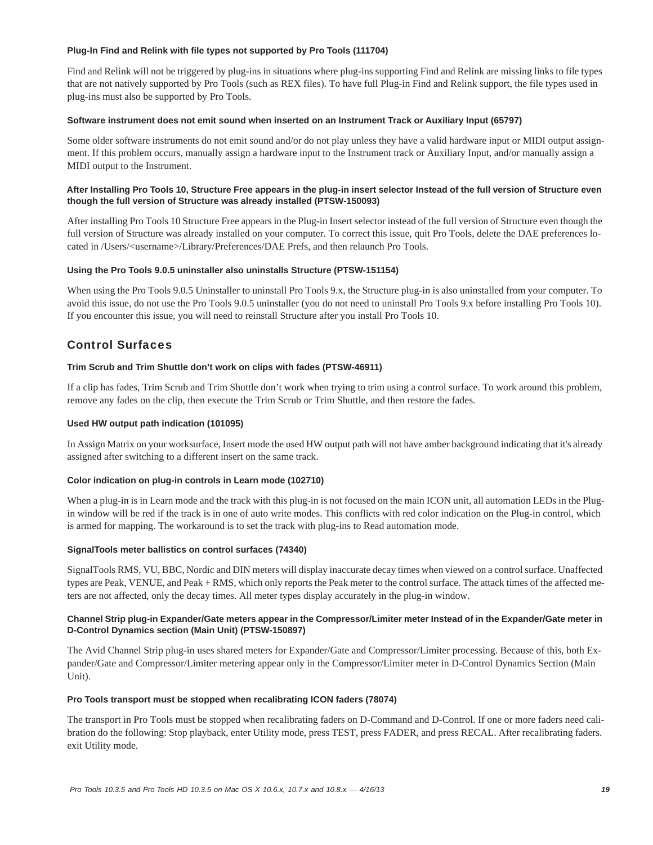#### **Plug-In Find and Relink with file types not supported by Pro Tools (111704)**

Find and Relink will not be triggered by plug-ins in situations where plug-ins supporting Find and Relink are missing links to file types that are not natively supported by Pro Tools (such as REX files). To have full Plug-in Find and Relink support, the file types used in plug-ins must also be supported by Pro Tools.

#### **Software instrument does not emit sound when inserted on an Instrument Track or Auxiliary Input (65797)**

Some older software instruments do not emit sound and/or do not play unless they have a valid hardware input or MIDI output assignment. If this problem occurs, manually assign a hardware input to the Instrument track or Auxiliary Input, and/or manually assign a MIDI output to the Instrument.

#### **After Installing Pro Tools 10, Structure Free appears in the plug-in insert selector Instead of the full version of Structure even though the full version of Structure was already installed (PTSW-150093)**

After installing Pro Tools 10 Structure Free appears in the Plug-in Insert selector instead of the full version of Structure even though the full version of Structure was already installed on your computer. To correct this issue, quit Pro Tools, delete the DAE preferences located in /Users/<username>/Library/Preferences/DAE Prefs, and then relaunch Pro Tools.

#### **Using the Pro Tools 9.0.5 uninstaller also uninstalls Structure (PTSW-151154)**

When using the Pro Tools 9.0.5 Uninstaller to uninstall Pro Tools 9.x, the Structure plug-in is also uninstalled from your computer. To avoid this issue, do not use the Pro Tools 9.0.5 uninstaller (you do not need to uninstall Pro Tools 9.x before installing Pro Tools 10). If you encounter this issue, you will need to reinstall Structure after you install Pro Tools 10.

# Control Surfaces

#### **Trim Scrub and Trim Shuttle don't work on clips with fades (PTSW-46911)**

If a clip has fades, Trim Scrub and Trim Shuttle don't work when trying to trim using a control surface. To work around this problem, remove any fades on the clip, then execute the Trim Scrub or Trim Shuttle, and then restore the fades.

#### **Used HW output path indication (101095)**

In Assign Matrix on your worksurface, Insert mode the used HW output path will not have amber background indicating that it's already assigned after switching to a different insert on the same track.

#### **Color indication on plug-in controls in Learn mode (102710)**

When a plug-in is in Learn mode and the track with this plug-in is not focused on the main ICON unit, all automation LEDs in the Plugin window will be red if the track is in one of auto write modes. This conflicts with red color indication on the Plug-in control, which is armed for mapping. The workaround is to set the track with plug-ins to Read automation mode.

#### **SignalTools meter ballistics on control surfaces (74340)**

SignalTools RMS, VU, BBC, Nordic and DIN meters will display inaccurate decay times when viewed on a control surface. Unaffected types are Peak, VENUE, and Peak + RMS, which only reports the Peak meter to the control surface. The attack times of the affected meters are not affected, only the decay times. All meter types display accurately in the plug-in window.

#### **Channel Strip plug-in Expander/Gate meters appear in the Compressor/Limiter meter Instead of in the Expander/Gate meter in D-Control Dynamics section (Main Unit) (PTSW-150897)**

The Avid Channel Strip plug-in uses shared meters for Expander/Gate and Compressor/Limiter processing. Because of this, both Expander/Gate and Compressor/Limiter metering appear only in the Compressor/Limiter meter in D-Control Dynamics Section (Main Unit).

#### **Pro Tools transport must be stopped when recalibrating ICON faders (78074)**

The transport in Pro Tools must be stopped when recalibrating faders on D-Command and D-Control. If one or more faders need calibration do the following: Stop playback, enter Utility mode, press TEST, press FADER, and press RECAL. After recalibrating faders. exit Utility mode.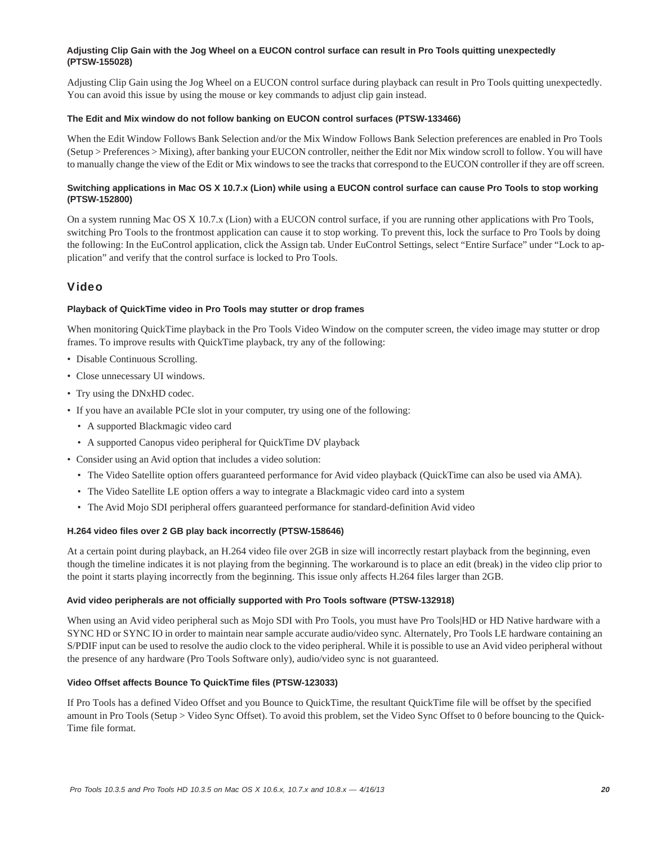#### **Adjusting Clip Gain with the Jog Wheel on a EUCON control surface can result in Pro Tools quitting unexpectedly (PTSW-155028)**

Adjusting Clip Gain using the Jog Wheel on a EUCON control surface during playback can result in Pro Tools quitting unexpectedly. You can avoid this issue by using the mouse or key commands to adjust clip gain instead.

#### **The Edit and Mix window do not follow banking on EUCON control surfaces (PTSW-133466)**

When the Edit Window Follows Bank Selection and/or the Mix Window Follows Bank Selection preferences are enabled in Pro Tools (Setup > Preferences > Mixing), after banking your EUCON controller, neither the Edit nor Mix window scroll to follow. You will have to manually change the view of the Edit or Mix windows to see the tracks that correspond to the EUCON controller if they are off screen.

#### **Switching applications in Mac OS X 10.7.x (Lion) while using a EUCON control surface can cause Pro Tools to stop working (PTSW-152800)**

On a system running Mac OS X 10.7.x (Lion) with a EUCON control surface, if you are running other applications with Pro Tools, switching Pro Tools to the frontmost application can cause it to stop working. To prevent this, lock the surface to Pro Tools by doing the following: In the EuControl application, click the Assign tab. Under EuControl Settings, select "Entire Surface" under "Lock to application" and verify that the control surface is locked to Pro Tools.

### Video

#### **Playback of QuickTime video in Pro Tools may stutter or drop frames**

When monitoring QuickTime playback in the Pro Tools Video Window on the computer screen, the video image may stutter or drop frames. To improve results with QuickTime playback, try any of the following:

- Disable Continuous Scrolling.
- Close unnecessary UI windows.
- Try using the DNxHD codec.
- If you have an available PCIe slot in your computer, try using one of the following:
	- A supported Blackmagic video card
	- A supported Canopus video peripheral for QuickTime DV playback
- Consider using an Avid option that includes a video solution:
	- The Video Satellite option offers guaranteed performance for Avid video playback (QuickTime can also be used via AMA).
	- The Video Satellite LE option offers a way to integrate a Blackmagic video card into a system
	- The Avid Mojo SDI peripheral offers guaranteed performance for standard-definition Avid video

#### **H.264 video files over 2 GB play back incorrectly (PTSW-158646)**

At a certain point during playback, an H.264 video file over 2GB in size will incorrectly restart playback from the beginning, even though the timeline indicates it is not playing from the beginning. The workaround is to place an edit (break) in the video clip prior to the point it starts playing incorrectly from the beginning. This issue only affects H.264 files larger than 2GB.

#### **Avid video peripherals are not officially supported with Pro Tools software (PTSW-132918)**

When using an Avid video peripheral such as Mojo SDI with Pro Tools, you must have Pro Tools|HD or HD Native hardware with a SYNC HD or SYNC IO in order to maintain near sample accurate audio/video sync. Alternately, Pro Tools LE hardware containing an S/PDIF input can be used to resolve the audio clock to the video peripheral. While it is possible to use an Avid video peripheral without the presence of any hardware (Pro Tools Software only), audio/video sync is not guaranteed.

#### **Video Offset affects Bounce To QuickTime files (PTSW-123033)**

If Pro Tools has a defined Video Offset and you Bounce to QuickTime, the resultant QuickTime file will be offset by the specified amount in Pro Tools (Setup > Video Sync Offset). To avoid this problem, set the Video Sync Offset to 0 before bouncing to the Quick-Time file format.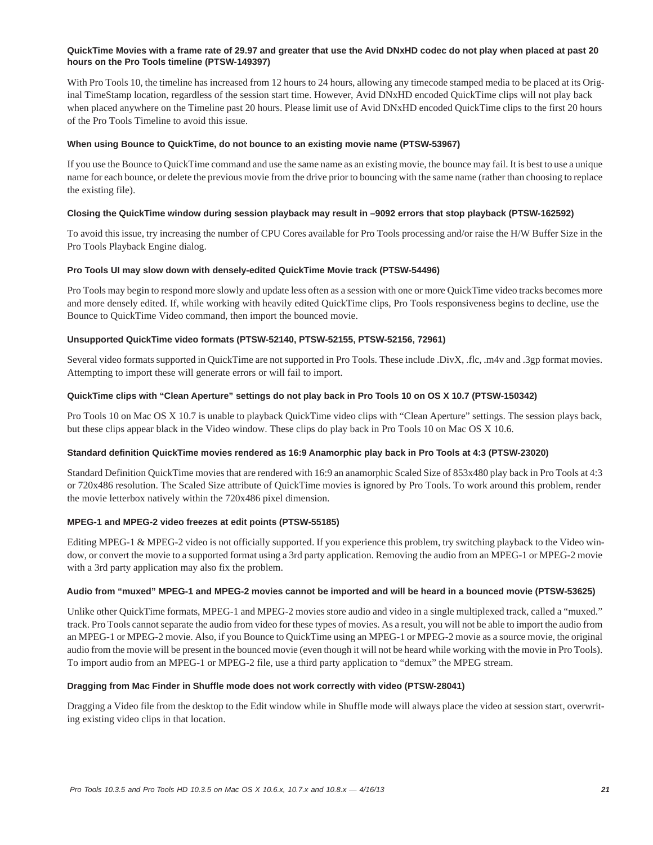#### **QuickTime Movies with a frame rate of 29.97 and greater that use the Avid DNxHD codec do not play when placed at past 20 hours on the Pro Tools timeline (PTSW-149397)**

With Pro Tools 10, the timeline has increased from 12 hours to 24 hours, allowing any timecode stamped media to be placed at its Original TimeStamp location, regardless of the session start time. However, Avid DNxHD encoded QuickTime clips will not play back when placed anywhere on the Timeline past 20 hours. Please limit use of Avid DNxHD encoded QuickTime clips to the first 20 hours of the Pro Tools Timeline to avoid this issue.

#### **When using Bounce to QuickTime, do not bounce to an existing movie name (PTSW-53967)**

If you use the Bounce to QuickTime command and use the same name as an existing movie, the bounce may fail. It is best to use a unique name for each bounce, or delete the previous movie from the drive prior to bouncing with the same name (rather than choosing to replace the existing file).

#### **Closing the QuickTime window during session playback may result in –9092 errors that stop playback (PTSW-162592)**

To avoid this issue, try increasing the number of CPU Cores available for Pro Tools processing and/or raise the H/W Buffer Size in the Pro Tools Playback Engine dialog.

#### **Pro Tools UI may slow down with densely-edited QuickTime Movie track (PTSW-54496)**

Pro Tools may begin to respond more slowly and update less often as a session with one or more QuickTime video tracks becomes more and more densely edited. If, while working with heavily edited QuickTime clips, Pro Tools responsiveness begins to decline, use the Bounce to QuickTime Video command, then import the bounced movie.

#### **Unsupported QuickTime video formats (PTSW-52140, PTSW-52155, PTSW-52156, 72961)**

Several video formats supported in QuickTime are not supported in Pro Tools. These include .DivX, .flc, .m4v and .3gp format movies. Attempting to import these will generate errors or will fail to import.

#### **QuickTime clips with "Clean Aperture" settings do not play back in Pro Tools 10 on OS X 10.7 (PTSW-150342)**

Pro Tools 10 on Mac OS X 10.7 is unable to playback QuickTime video clips with "Clean Aperture" settings. The session plays back, but these clips appear black in the Video window. These clips do play back in Pro Tools 10 on Mac OS X 10.6.

#### **Standard definition QuickTime movies rendered as 16:9 Anamorphic play back in Pro Tools at 4:3 (PTSW-23020)**

Standard Definition QuickTime movies that are rendered with 16:9 an anamorphic Scaled Size of 853x480 play back in Pro Tools at 4:3 or 720x486 resolution. The Scaled Size attribute of QuickTime movies is ignored by Pro Tools. To work around this problem, render the movie letterbox natively within the 720x486 pixel dimension.

#### **MPEG-1 and MPEG-2 video freezes at edit points (PTSW-55185)**

Editing MPEG-1 & MPEG-2 video is not officially supported. If you experience this problem, try switching playback to the Video window, or convert the movie to a supported format using a 3rd party application. Removing the audio from an MPEG-1 or MPEG-2 movie with a 3rd party application may also fix the problem.

#### **Audio from "muxed" MPEG-1 and MPEG-2 movies cannot be imported and will be heard in a bounced movie (PTSW-53625)**

Unlike other QuickTime formats, MPEG-1 and MPEG-2 movies store audio and video in a single multiplexed track, called a "muxed." track. Pro Tools cannot separate the audio from video for these types of movies. As a result, you will not be able to import the audio from an MPEG-1 or MPEG-2 movie. Also, if you Bounce to QuickTime using an MPEG-1 or MPEG-2 movie as a source movie, the original audio from the movie will be present in the bounced movie (even though it will not be heard while working with the movie in Pro Tools). To import audio from an MPEG-1 or MPEG-2 file, use a third party application to "demux" the MPEG stream.

#### **Dragging from Mac Finder in Shuffle mode does not work correctly with video (PTSW-28041)**

Dragging a Video file from the desktop to the Edit window while in Shuffle mode will always place the video at session start, overwriting existing video clips in that location.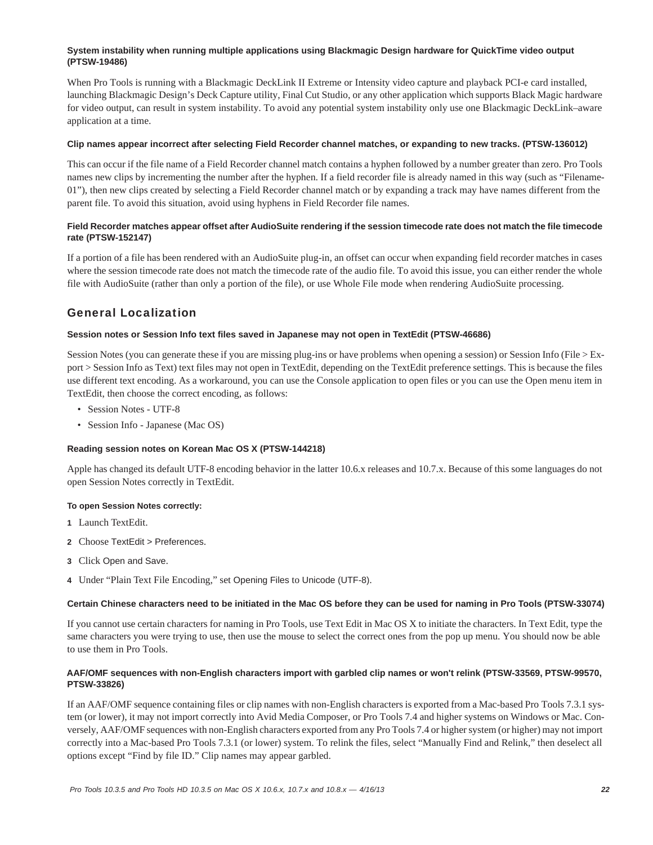#### **System instability when running multiple applications using Blackmagic Design hardware for QuickTime video output (PTSW-19486)**

When Pro Tools is running with a Blackmagic DeckLink II Extreme or Intensity video capture and playback PCI-e card installed, launching Blackmagic Design's Deck Capture utility, Final Cut Studio, or any other application which supports Black Magic hardware for video output, can result in system instability. To avoid any potential system instability only use one Blackmagic DeckLink–aware application at a time.

#### **Clip names appear incorrect after selecting Field Recorder channel matches, or expanding to new tracks. (PTSW-136012)**

This can occur if the file name of a Field Recorder channel match contains a hyphen followed by a number greater than zero. Pro Tools names new clips by incrementing the number after the hyphen. If a field recorder file is already named in this way (such as "Filename-01"), then new clips created by selecting a Field Recorder channel match or by expanding a track may have names different from the parent file. To avoid this situation, avoid using hyphens in Field Recorder file names.

#### **Field Recorder matches appear offset after AudioSuite rendering if the session timecode rate does not match the file timecode rate (PTSW-152147)**

If a portion of a file has been rendered with an AudioSuite plug-in, an offset can occur when expanding field recorder matches in cases where the session timecode rate does not match the timecode rate of the audio file. To avoid this issue, you can either render the whole file with AudioSuite (rather than only a portion of the file), or use Whole File mode when rendering AudioSuite processing.

# General Localization

#### **Session notes or Session Info text files saved in Japanese may not open in TextEdit (PTSW-46686)**

Session Notes (you can generate these if you are missing plug-ins or have problems when opening a session) or Session Info (File > Export > Session Info as Text) text files may not open in TextEdit, depending on the TextEdit preference settings. This is because the files use different text encoding. As a workaround, you can use the Console application to open files or you can use the Open menu item in TextEdit, then choose the correct encoding, as follows:

- Session Notes UTF-8
- Session Info Japanese (Mac OS)

#### **Reading session notes on Korean Mac OS X (PTSW-144218)**

Apple has changed its default UTF-8 encoding behavior in the latter 10.6.x releases and 10.7.x. Because of this some languages do not open Session Notes correctly in TextEdit.

#### **To open Session Notes correctly:**

- **1** Launch TextEdit.
- **2** Choose TextEdit > Preferences.
- **3** Click Open and Save.
- **4** Under "Plain Text File Encoding," set Opening Files to Unicode (UTF-8).

#### **Certain Chinese characters need to be initiated in the Mac OS before they can be used for naming in Pro Tools (PTSW-33074)**

If you cannot use certain characters for naming in Pro Tools, use Text Edit in Mac OS X to initiate the characters. In Text Edit, type the same characters you were trying to use, then use the mouse to select the correct ones from the pop up menu. You should now be able to use them in Pro Tools.

#### **AAF/OMF sequences with non-English characters import with garbled clip names or won't relink (PTSW-33569, PTSW-99570, PTSW-33826)**

If an AAF/OMF sequence containing files or clip names with non-English characters is exported from a Mac-based Pro Tools 7.3.1 system (or lower), it may not import correctly into Avid Media Composer, or Pro Tools 7.4 and higher systems on Windows or Mac. Conversely, AAF/OMF sequences with non-English characters exported from any Pro Tools 7.4 or higher system (or higher) may not import correctly into a Mac-based Pro Tools 7.3.1 (or lower) system. To relink the files, select "Manually Find and Relink," then deselect all options except "Find by file ID." Clip names may appear garbled.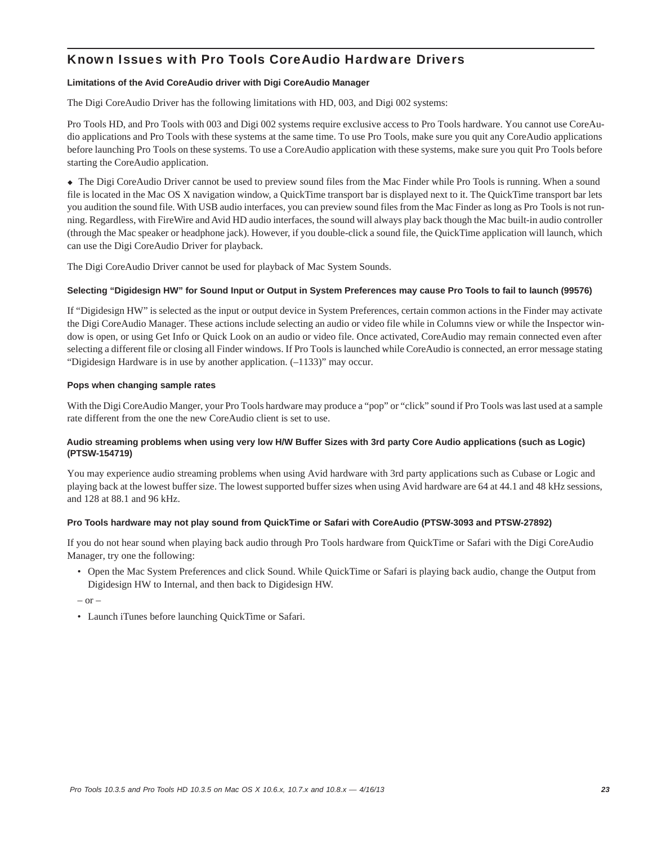# Known Issues with Pro Tools CoreAudio Hardware Drivers

#### **Limitations of the Avid CoreAudio driver with Digi CoreAudio Manager**

The Digi CoreAudio Driver has the following limitations with HD, 003, and Digi 002 systems:

Pro Tools HD, and Pro Tools with 003 and Digi 002 systems require exclusive access to Pro Tools hardware. You cannot use CoreAudio applications and Pro Tools with these systems at the same time. To use Pro Tools, make sure you quit any CoreAudio applications before launching Pro Tools on these systems. To use a CoreAudio application with these systems, make sure you quit Pro Tools before starting the CoreAudio application.

 The Digi CoreAudio Driver cannot be used to preview sound files from the Mac Finder while Pro Tools is running. When a sound file is located in the Mac OS X navigation window, a QuickTime transport bar is displayed next to it. The QuickTime transport bar lets you audition the sound file. With USB audio interfaces, you can preview sound files from the Mac Finder as long as Pro Tools is not running. Regardless, with FireWire and Avid HD audio interfaces, the sound will always play back though the Mac built-in audio controller (through the Mac speaker or headphone jack). However, if you double-click a sound file, the QuickTime application will launch, which can use the Digi CoreAudio Driver for playback.

The Digi CoreAudio Driver cannot be used for playback of Mac System Sounds.

#### **Selecting "Digidesign HW" for Sound Input or Output in System Preferences may cause Pro Tools to fail to launch (99576)**

If "Digidesign HW" is selected as the input or output device in System Preferences, certain common actions in the Finder may activate the Digi CoreAudio Manager. These actions include selecting an audio or video file while in Columns view or while the Inspector window is open, or using Get Info or Quick Look on an audio or video file. Once activated, CoreAudio may remain connected even after selecting a different file or closing all Finder windows. If Pro Tools is launched while CoreAudio is connected, an error message stating "Digidesign Hardware is in use by another application. (–1133)" may occur.

#### **Pops when changing sample rates**

With the Digi CoreAudio Manger, your Pro Tools hardware may produce a "pop" or "click" sound if Pro Tools was last used at a sample rate different from the one the new CoreAudio client is set to use.

#### **Audio streaming problems when using very low H/W Buffer Sizes with 3rd party Core Audio applications (such as Logic) (PTSW-154719)**

You may experience audio streaming problems when using Avid hardware with 3rd party applications such as Cubase or Logic and playing back at the lowest buffer size. The lowest supported buffer sizes when using Avid hardware are 64 at 44.1 and 48 kHz sessions, and 128 at 88.1 and 96 kHz.

#### **Pro Tools hardware may not play sound from QuickTime or Safari with CoreAudio (PTSW-3093 and PTSW-27892)**

If you do not hear sound when playing back audio through Pro Tools hardware from QuickTime or Safari with the Digi CoreAudio Manager, try one the following:

• Open the Mac System Preferences and click Sound. While QuickTime or Safari is playing back audio, change the Output from Digidesign HW to Internal, and then back to Digidesign HW.

 $-$  or  $-$ 

• Launch iTunes before launching QuickTime or Safari.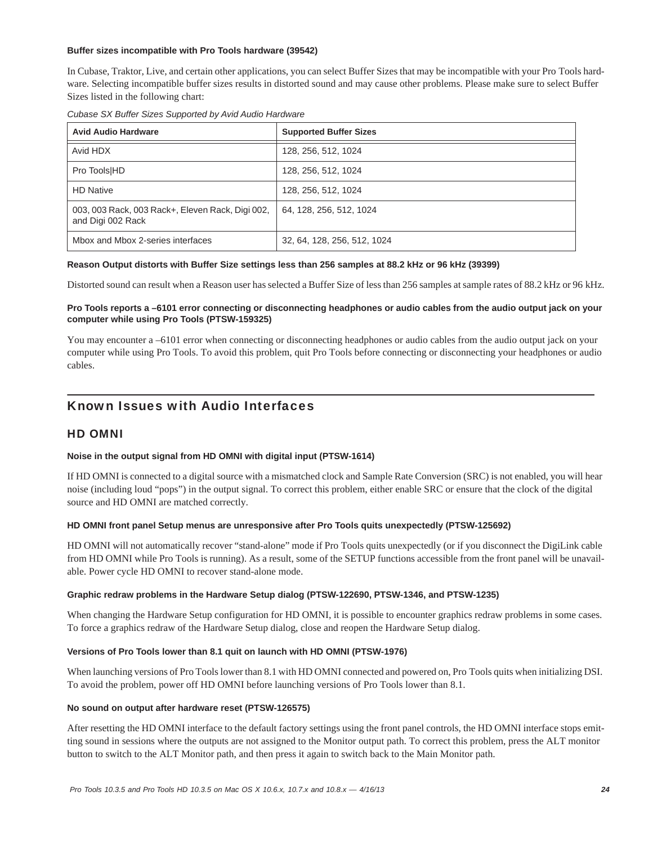#### **Buffer sizes incompatible with Pro Tools hardware (39542)**

In Cubase, Traktor, Live, and certain other applications, you can select Buffer Sizes that may be incompatible with your Pro Tools hardware. Selecting incompatible buffer sizes results in distorted sound and may cause other problems. Please make sure to select Buffer Sizes listed in the following chart:

|  | Cubase SX Buffer Sizes Supported by Avid Audio Hardware |  |  |
|--|---------------------------------------------------------|--|--|
|  |                                                         |  |  |

| <b>Avid Audio Hardware</b>                                            | <b>Supported Buffer Sizes</b> |  |
|-----------------------------------------------------------------------|-------------------------------|--|
| Avid HDX                                                              | 128, 256, 512, 1024           |  |
| Pro Tools HD                                                          | 128, 256, 512, 1024           |  |
| <b>HD Native</b>                                                      | 128, 256, 512, 1024           |  |
| 003, 003 Rack, 003 Rack+, Eleven Rack, Digi 002,<br>and Digi 002 Rack | 64, 128, 256, 512, 1024       |  |
| Mbox and Mbox 2-series interfaces                                     | 32, 64, 128, 256, 512, 1024   |  |

#### **Reason Output distorts with Buffer Size settings less than 256 samples at 88.2 kHz or 96 kHz (39399)**

Distorted sound can result when a Reason user has selected a Buffer Size of less than 256 samples at sample rates of 88.2 kHz or 96 kHz.

### **Pro Tools reports a –6101 error connecting or disconnecting headphones or audio cables from the audio output jack on your computer while using Pro Tools (PTSW-159325)**

You may encounter a –6101 error when connecting or disconnecting headphones or audio cables from the audio output jack on your computer while using Pro Tools. To avoid this problem, quit Pro Tools before connecting or disconnecting your headphones or audio cables.

# Known Issues with Audio Interfaces

### HD OMNI

#### **Noise in the output signal from HD OMNI with digital input (PTSW-1614)**

If HD OMNI is connected to a digital source with a mismatched clock and Sample Rate Conversion (SRC) is not enabled, you will hear noise (including loud "pops") in the output signal. To correct this problem, either enable SRC or ensure that the clock of the digital source and HD OMNI are matched correctly.

#### **HD OMNI front panel Setup menus are unresponsive after Pro Tools quits unexpectedly (PTSW-125692)**

HD OMNI will not automatically recover "stand-alone" mode if Pro Tools quits unexpectedly (or if you disconnect the DigiLink cable from HD OMNI while Pro Tools is running). As a result, some of the SETUP functions accessible from the front panel will be unavailable. Power cycle HD OMNI to recover stand-alone mode.

#### **Graphic redraw problems in the Hardware Setup dialog (PTSW-122690, PTSW-1346, and PTSW-1235)**

When changing the Hardware Setup configuration for HD OMNI, it is possible to encounter graphics redraw problems in some cases. To force a graphics redraw of the Hardware Setup dialog, close and reopen the Hardware Setup dialog.

#### **Versions of Pro Tools lower than 8.1 quit on launch with HD OMNI (PTSW-1976)**

When launching versions of Pro Tools lower than 8.1 with HD OMNI connected and powered on, Pro Tools quits when initializing DSI. To avoid the problem, power off HD OMNI before launching versions of Pro Tools lower than 8.1.

#### **No sound on output after hardware reset (PTSW-126575)**

After resetting the HD OMNI interface to the default factory settings using the front panel controls, the HD OMNI interface stops emitting sound in sessions where the outputs are not assigned to the Monitor output path. To correct this problem, press the ALT monitor button to switch to the ALT Monitor path, and then press it again to switch back to the Main Monitor path.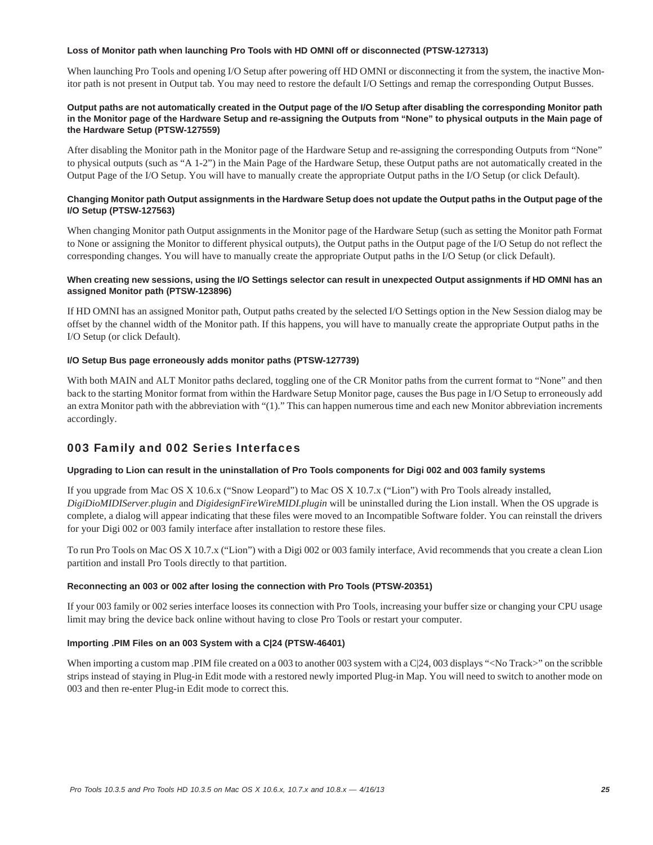#### **Loss of Monitor path when launching Pro Tools with HD OMNI off or disconnected (PTSW-127313)**

When launching Pro Tools and opening I/O Setup after powering off HD OMNI or disconnecting it from the system, the inactive Monitor path is not present in Output tab. You may need to restore the default I/O Settings and remap the corresponding Output Busses.

#### **Output paths are not automatically created in the Output page of the I/O Setup after disabling the corresponding Monitor path in the Monitor page of the Hardware Setup and re-assigning the Outputs from "None" to physical outputs in the Main page of the Hardware Setup (PTSW-127559)**

After disabling the Monitor path in the Monitor page of the Hardware Setup and re-assigning the corresponding Outputs from "None" to physical outputs (such as "A 1-2") in the Main Page of the Hardware Setup, these Output paths are not automatically created in the Output Page of the I/O Setup. You will have to manually create the appropriate Output paths in the I/O Setup (or click Default).

#### **Changing Monitor path Output assignments in the Hardware Setup does not update the Output paths in the Output page of the I/O Setup (PTSW-127563)**

When changing Monitor path Output assignments in the Monitor page of the Hardware Setup (such as setting the Monitor path Format to None or assigning the Monitor to different physical outputs), the Output paths in the Output page of the I/O Setup do not reflect the corresponding changes. You will have to manually create the appropriate Output paths in the I/O Setup (or click Default).

#### **When creating new sessions, using the I/O Settings selector can result in unexpected Output assignments if HD OMNI has an assigned Monitor path (PTSW-123896)**

If HD OMNI has an assigned Monitor path, Output paths created by the selected I/O Settings option in the New Session dialog may be offset by the channel width of the Monitor path. If this happens, you will have to manually create the appropriate Output paths in the I/O Setup (or click Default).

#### **I/O Setup Bus page erroneously adds monitor paths (PTSW-127739)**

With both MAIN and ALT Monitor paths declared, toggling one of the CR Monitor paths from the current format to "None" and then back to the starting Monitor format from within the Hardware Setup Monitor page, causes the Bus page in I/O Setup to erroneously add an extra Monitor path with the abbreviation with "(1)." This can happen numerous time and each new Monitor abbreviation increments accordingly.

### 003 Family and 002 Series Interfaces

#### **Upgrading to Lion can result in the uninstallation of Pro Tools components for Digi 002 and 003 family systems**

If you upgrade from Mac OS X 10.6.x ("Snow Leopard") to Mac OS X 10.7.x ("Lion") with Pro Tools already installed, *DigiDioMIDIServer.plugin* and *DigidesignFireWireMIDI.plugin* will be uninstalled during the Lion install. When the OS upgrade is complete, a dialog will appear indicating that these files were moved to an Incompatible Software folder. You can reinstall the drivers for your Digi 002 or 003 family interface after installation to restore these files.

To run Pro Tools on Mac OS X 10.7.x ("Lion") with a Digi 002 or 003 family interface, Avid recommends that you create a clean Lion partition and install Pro Tools directly to that partition.

#### **Reconnecting an 003 or 002 after losing the connection with Pro Tools (PTSW-20351)**

If your 003 family or 002 series interface looses its connection with Pro Tools, increasing your buffer size or changing your CPU usage limit may bring the device back online without having to close Pro Tools or restart your computer.

#### **Importing .PIM Files on an 003 System with a C|24 (PTSW-46401)**

When importing a custom map .PIM file created on a 003 to another 003 system with a C|24, 003 displays "<No Track>" on the scribble strips instead of staying in Plug-in Edit mode with a restored newly imported Plug-in Map. You will need to switch to another mode on 003 and then re-enter Plug-in Edit mode to correct this.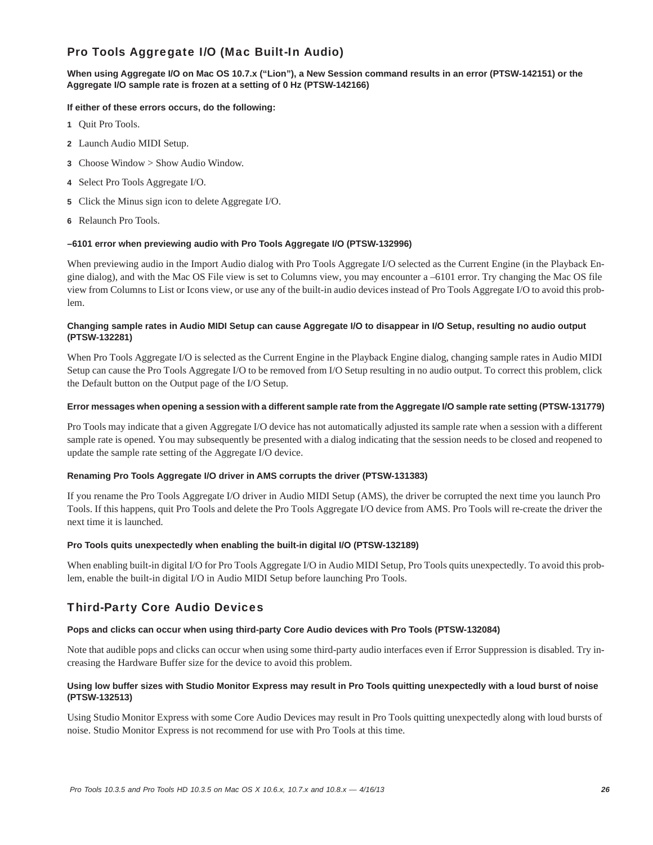# Pro Tools Aggregate I/O (Mac Built-In Audio)

#### **When using Aggregate I/O on Mac OS 10.7.x ("Lion"), a New Session command results in an error (PTSW-142151) or the Aggregate I/O sample rate is frozen at a setting of 0 Hz (PTSW-142166)**

#### **If either of these errors occurs, do the following:**

- **1** Quit Pro Tools.
- **2** Launch Audio MIDI Setup.
- **3** Choose Window > Show Audio Window.
- **4** Select Pro Tools Aggregate I/O.
- **5** Click the Minus sign icon to delete Aggregate I/O.
- **6** Relaunch Pro Tools.

#### **–6101 error when previewing audio with Pro Tools Aggregate I/O (PTSW-132996)**

When previewing audio in the Import Audio dialog with Pro Tools Aggregate I/O selected as the Current Engine (in the Playback Engine dialog), and with the Mac OS File view is set to Columns view, you may encounter a –6101 error. Try changing the Mac OS file view from Columns to List or Icons view, or use any of the built-in audio devices instead of Pro Tools Aggregate I/O to avoid this problem.

#### **Changing sample rates in Audio MIDI Setup can cause Aggregate I/O to disappear in I/O Setup, resulting no audio output (PTSW-132281)**

When Pro Tools Aggregate I/O is selected as the Current Engine in the Playback Engine dialog, changing sample rates in Audio MIDI Setup can cause the Pro Tools Aggregate I/O to be removed from I/O Setup resulting in no audio output. To correct this problem, click the Default button on the Output page of the I/O Setup.

#### **Error messages when opening a session with a different sample rate from the Aggregate I/O sample rate setting (PTSW-131779)**

Pro Tools may indicate that a given Aggregate I/O device has not automatically adjusted its sample rate when a session with a different sample rate is opened. You may subsequently be presented with a dialog indicating that the session needs to be closed and reopened to update the sample rate setting of the Aggregate I/O device.

#### **Renaming Pro Tools Aggregate I/O driver in AMS corrupts the driver (PTSW-131383)**

If you rename the Pro Tools Aggregate I/O driver in Audio MIDI Setup (AMS), the driver be corrupted the next time you launch Pro Tools. If this happens, quit Pro Tools and delete the Pro Tools Aggregate I/O device from AMS. Pro Tools will re-create the driver the next time it is launched.

#### **Pro Tools quits unexpectedly when enabling the built-in digital I/O (PTSW-132189)**

When enabling built-in digital I/O for Pro Tools Aggregate I/O in Audio MIDI Setup, Pro Tools quits unexpectedly. To avoid this problem, enable the built-in digital I/O in Audio MIDI Setup before launching Pro Tools.

# Third-Party Core Audio Devices

#### **Pops and clicks can occur when using third-party Core Audio devices with Pro Tools (PTSW-132084)**

Note that audible pops and clicks can occur when using some third-party audio interfaces even if Error Suppression is disabled. Try increasing the Hardware Buffer size for the device to avoid this problem.

#### **Using low buffer sizes with Studio Monitor Express may result in Pro Tools quitting unexpectedly with a loud burst of noise (PTSW-132513)**

Using Studio Monitor Express with some Core Audio Devices may result in Pro Tools quitting unexpectedly along with loud bursts of noise. Studio Monitor Express is not recommend for use with Pro Tools at this time.